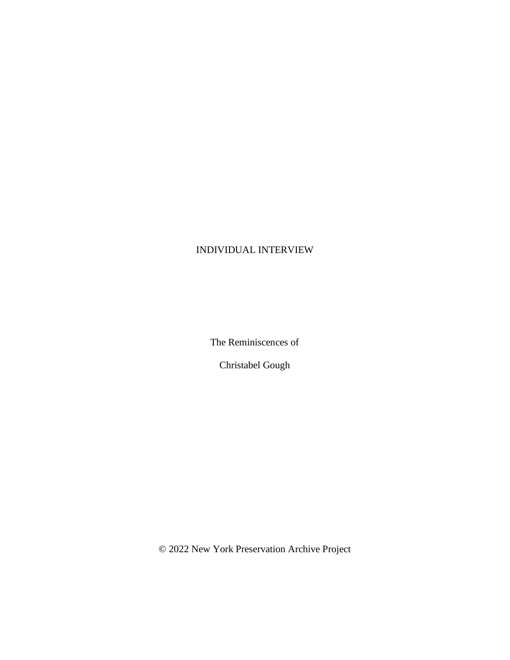## INDIVIDUAL INTERVIEW

The Reminiscences of

Christabel Gough

© 2022 New York Preservation Archive Project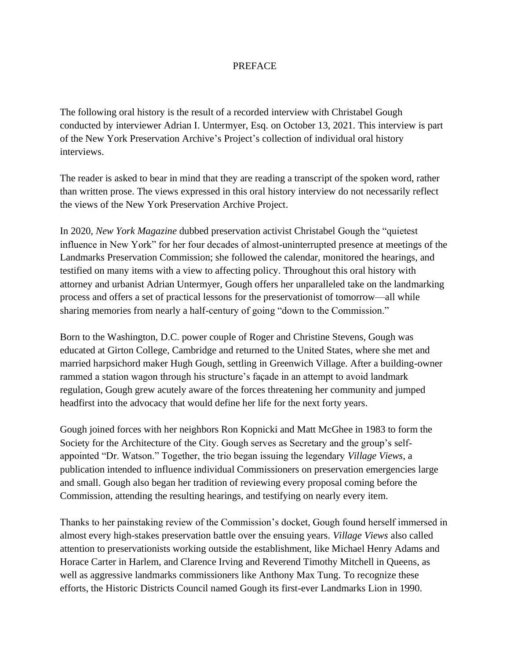## **PREFACE**

The following oral history is the result of a recorded interview with Christabel Gough conducted by interviewer Adrian I. Untermyer, Esq. on October 13, 2021. This interview is part of the New York Preservation Archive's Project's collection of individual oral history interviews.

The reader is asked to bear in mind that they are reading a transcript of the spoken word, rather than written prose. The views expressed in this oral history interview do not necessarily reflect the views of the New York Preservation Archive Project.

In 2020, *New York Magazine* dubbed preservation activist Christabel Gough the "quietest influence in New York" for her four decades of almost-uninterrupted presence at meetings of the Landmarks Preservation Commission; she followed the calendar, monitored the hearings, and testified on many items with a view to affecting policy. Throughout this oral history with attorney and urbanist Adrian Untermyer, Gough offers her unparalleled take on the landmarking process and offers a set of practical lessons for the preservationist of tomorrow––all while sharing memories from nearly a half-century of going "down to the Commission."

Born to the Washington, D.C. power couple of Roger and Christine Stevens, Gough was educated at Girton College, Cambridge and returned to the United States, where she met and married harpsichord maker Hugh Gough, settling in Greenwich Village. After a building-owner rammed a station wagon through his structure's façade in an attempt to avoid landmark regulation, Gough grew acutely aware of the forces threatening her community and jumped headfirst into the advocacy that would define her life for the next forty years.

Gough joined forces with her neighbors Ron Kopnicki and Matt McGhee in 1983 to form the Society for the Architecture of the City. Gough serves as Secretary and the group's selfappointed "Dr. Watson." Together, the trio began issuing the legendary *Village Views*, a publication intended to influence individual Commissioners on preservation emergencies large and small. Gough also began her tradition of reviewing every proposal coming before the Commission, attending the resulting hearings, and testifying on nearly every item.

Thanks to her painstaking review of the Commission's docket, Gough found herself immersed in almost every high-stakes preservation battle over the ensuing years. *Village Views* also called attention to preservationists working outside the establishment, like Michael Henry Adams and Horace Carter in Harlem, and Clarence Irving and Reverend Timothy Mitchell in Queens, as well as aggressive landmarks commissioners like Anthony Max Tung. To recognize these efforts, the Historic Districts Council named Gough its first-ever Landmarks Lion in 1990.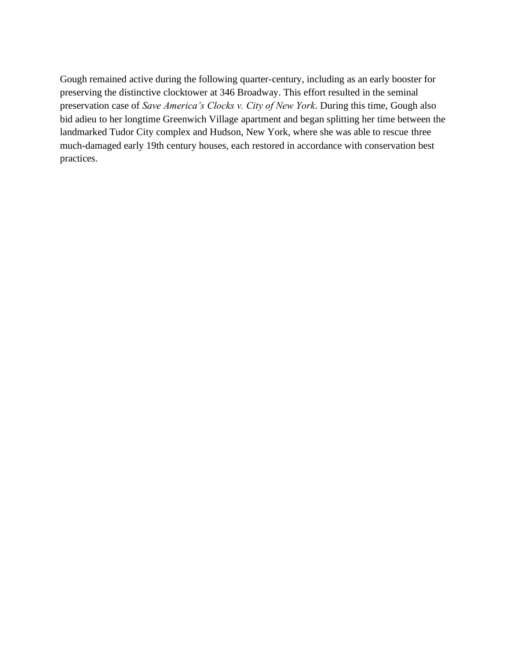Gough remained active during the following quarter-century, including as an early booster for preserving the distinctive clocktower at 346 Broadway. This effort resulted in the seminal preservation case of *Save America's Clocks v. City of New York*. During this time, Gough also bid adieu to her longtime Greenwich Village apartment and began splitting her time between the landmarked Tudor City complex and Hudson, New York, where she was able to rescue three much-damaged early 19th century houses, each restored in accordance with conservation best practices.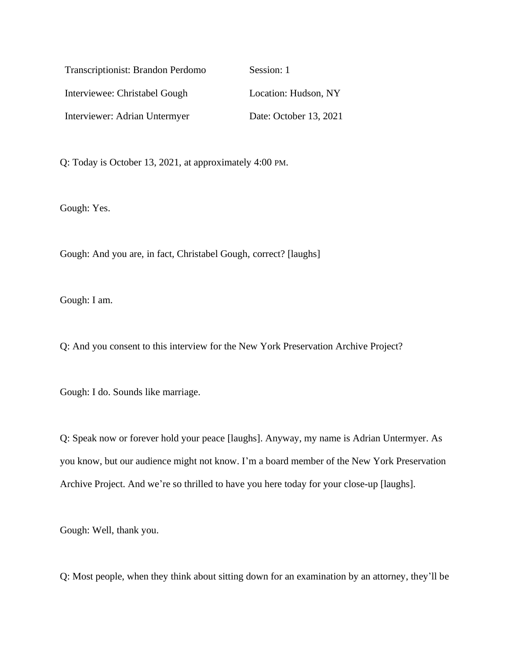| Transcriptionist: Brandon Perdomo | Session: 1             |
|-----------------------------------|------------------------|
| Interviewee: Christabel Gough     | Location: Hudson, NY   |
| Interviewer: Adrian Untermyer     | Date: October 13, 2021 |

Q: Today is October 13, 2021, at approximately 4:00 PM.

Gough: Yes.

Gough: And you are, in fact, Christabel Gough, correct? [laughs]

Gough: I am.

Q: And you consent to this interview for the New York Preservation Archive Project?

Gough: I do. Sounds like marriage.

Q: Speak now or forever hold your peace [laughs]. Anyway, my name is Adrian Untermyer. As you know, but our audience might not know. I'm a board member of the New York Preservation Archive Project. And we're so thrilled to have you here today for your close-up [laughs].

Gough: Well, thank you.

Q: Most people, when they think about sitting down for an examination by an attorney, they'll be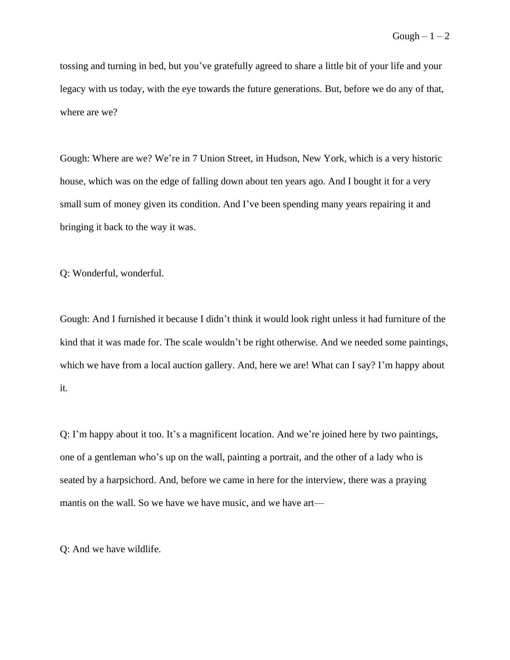tossing and turning in bed, but you've gratefully agreed to share a little bit of your life and your legacy with us today, with the eye towards the future generations. But, before we do any of that, where are we?

Gough: Where are we? We're in 7 Union Street, in Hudson, New York, which is a very historic house, which was on the edge of falling down about ten years ago. And I bought it for a very small sum of money given its condition. And I've been spending many years repairing it and bringing it back to the way it was.

Q: Wonderful, wonderful.

Gough: And I furnished it because I didn't think it would look right unless it had furniture of the kind that it was made for. The scale wouldn't be right otherwise. And we needed some paintings, which we have from a local auction gallery. And, here we are! What can I say? I'm happy about it.

Q: I'm happy about it too. It's a magnificent location. And we're joined here by two paintings, one of a gentleman who's up on the wall, painting a portrait, and the other of a lady who is seated by a harpsichord. And, before we came in here for the interview, there was a praying mantis on the wall. So we have we have music, and we have art—

Q: And we have wildlife.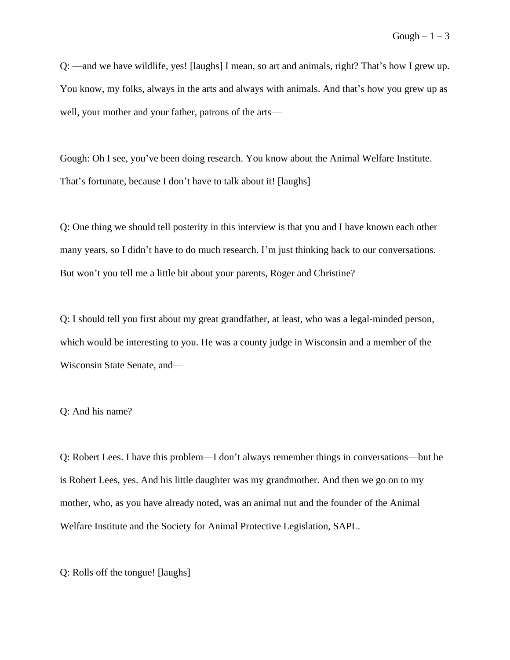Q: ––and we have wildlife, yes! [laughs] I mean, so art and animals, right? That's how I grew up. You know, my folks, always in the arts and always with animals. And that's how you grew up as well, your mother and your father, patrons of the arts—

Gough: Oh I see, you've been doing research. You know about the Animal Welfare Institute. That's fortunate, because I don't have to talk about it! [laughs]

Q: One thing we should tell posterity in this interview is that you and I have known each other many years, so I didn't have to do much research. I'm just thinking back to our conversations. But won't you tell me a little bit about your parents, Roger and Christine?

Q: I should tell you first about my great grandfather, at least, who was a legal-minded person, which would be interesting to you. He was a county judge in Wisconsin and a member of the Wisconsin State Senate, and–

Q: And his name?

Q: Robert Lees. I have this problem––I don't always remember things in conversations––but he is Robert Lees, yes. And his little daughter was my grandmother. And then we go on to my mother, who, as you have already noted, was an animal nut and the founder of the Animal Welfare Institute and the Society for Animal Protective Legislation, SAPL.

Q: Rolls off the tongue! [laughs]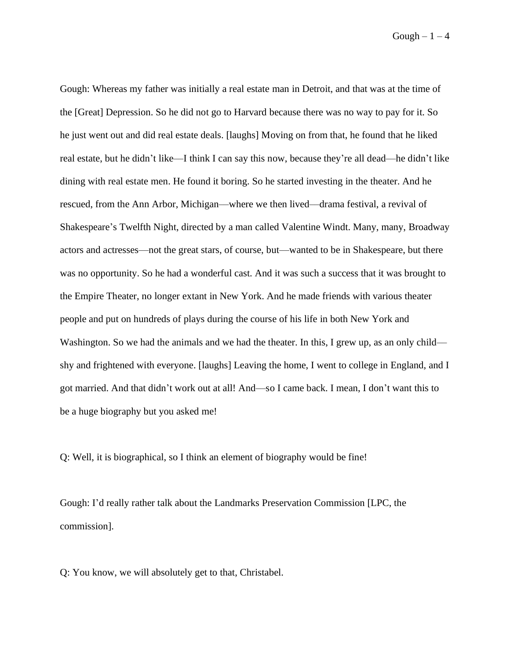$Gough - 1 - 4$ 

Gough: Whereas my father was initially a real estate man in Detroit, and that was at the time of the [Great] Depression. So he did not go to Harvard because there was no way to pay for it. So he just went out and did real estate deals. [laughs] Moving on from that, he found that he liked real estate, but he didn't like––I think I can say this now, because they're all dead––he didn't like dining with real estate men. He found it boring. So he started investing in the theater. And he rescued, from the Ann Arbor, Michigan––where we then lived––drama festival, a revival of Shakespeare's Twelfth Night, directed by a man called Valentine Windt. Many, many, Broadway actors and actresses––not the great stars, of course, but––wanted to be in Shakespeare, but there was no opportunity. So he had a wonderful cast. And it was such a success that it was brought to the Empire Theater, no longer extant in New York. And he made friends with various theater people and put on hundreds of plays during the course of his life in both New York and Washington. So we had the animals and we had the theater. In this, I grew up, as an only child shy and frightened with everyone. [laughs] Leaving the home, I went to college in England, and I got married. And that didn't work out at all! And––so I came back. I mean, I don't want this to be a huge biography but you asked me!

Q: Well, it is biographical, so I think an element of biography would be fine!

Gough: I'd really rather talk about the Landmarks Preservation Commission [LPC, the commission].

Q: You know, we will absolutely get to that, Christabel.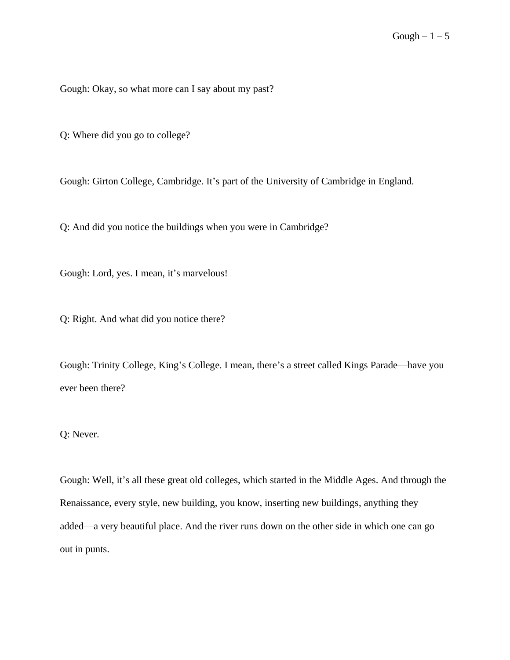Gough: Okay, so what more can I say about my past?

Q: Where did you go to college?

Gough: Girton College, Cambridge. It's part of the University of Cambridge in England.

Q: And did you notice the buildings when you were in Cambridge?

Gough: Lord, yes. I mean, it's marvelous!

Q: Right. And what did you notice there?

Gough: Trinity College, King's College. I mean, there's a street called Kings Parade––have you ever been there?

## Q: Never.

Gough: Well, it's all these great old colleges, which started in the Middle Ages. And through the Renaissance, every style, new building, you know, inserting new buildings, anything they added––a very beautiful place. And the river runs down on the other side in which one can go out in punts.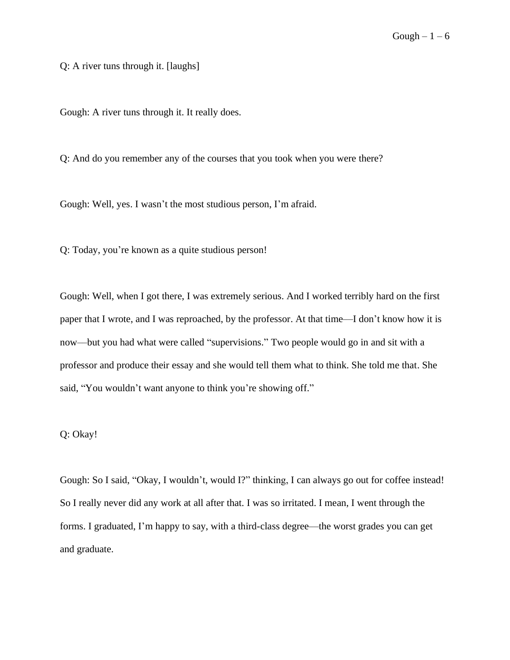Q: A river tuns through it. [laughs]

Gough: A river tuns through it. It really does.

Q: And do you remember any of the courses that you took when you were there?

Gough: Well, yes. I wasn't the most studious person, I'm afraid.

Q: Today, you're known as a quite studious person!

Gough: Well, when I got there, I was extremely serious. And I worked terribly hard on the first paper that I wrote, and I was reproached, by the professor. At that time––I don't know how it is now––but you had what were called "supervisions." Two people would go in and sit with a professor and produce their essay and she would tell them what to think. She told me that. She said, "You wouldn't want anyone to think you're showing off."

## Q: Okay!

Gough: So I said, "Okay, I wouldn't, would I?" thinking, I can always go out for coffee instead! So I really never did any work at all after that. I was so irritated. I mean, I went through the forms. I graduated, I'm happy to say, with a third-class degree—the worst grades you can get and graduate.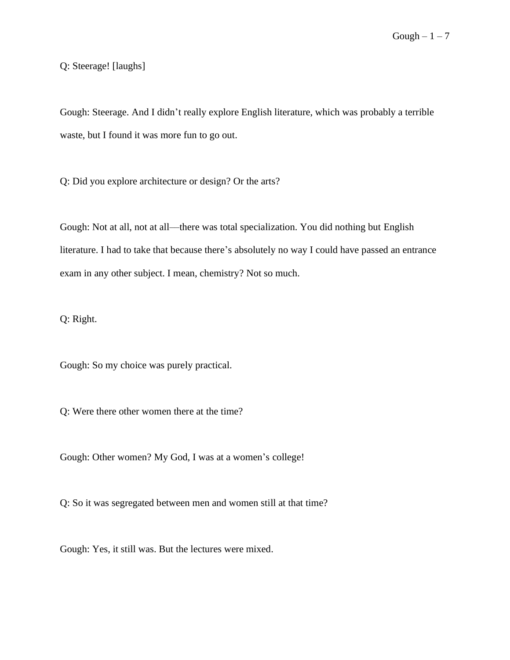Q: Steerage! [laughs]

Gough: Steerage. And I didn't really explore English literature, which was probably a terrible waste, but I found it was more fun to go out.

Q: Did you explore architecture or design? Or the arts?

Gough: Not at all, not at all––there was total specialization. You did nothing but English literature. I had to take that because there's absolutely no way I could have passed an entrance exam in any other subject. I mean, chemistry? Not so much.

Q: Right.

Gough: So my choice was purely practical.

Q: Were there other women there at the time?

Gough: Other women? My God, I was at a women's college!

Q: So it was segregated between men and women still at that time?

Gough: Yes, it still was. But the lectures were mixed.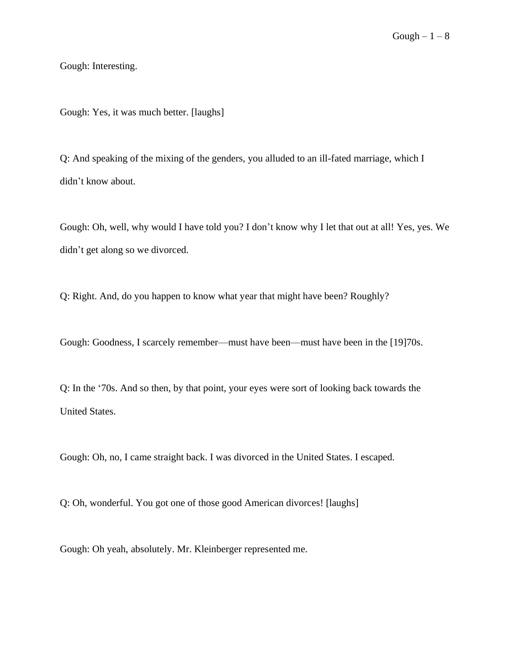Gough: Interesting.

Gough: Yes, it was much better. [laughs]

Q: And speaking of the mixing of the genders, you alluded to an ill-fated marriage, which I didn't know about.

Gough: Oh, well, why would I have told you? I don't know why I let that out at all! Yes, yes. We didn't get along so we divorced.

Q: Right. And, do you happen to know what year that might have been? Roughly?

Gough: Goodness, I scarcely remember—must have been—must have been in the [19]70s.

Q: In the '70s. And so then, by that point, your eyes were sort of looking back towards the United States.

Gough: Oh, no, I came straight back. I was divorced in the United States. I escaped.

Q: Oh, wonderful. You got one of those good American divorces! [laughs]

Gough: Oh yeah, absolutely. Mr. Kleinberger represented me.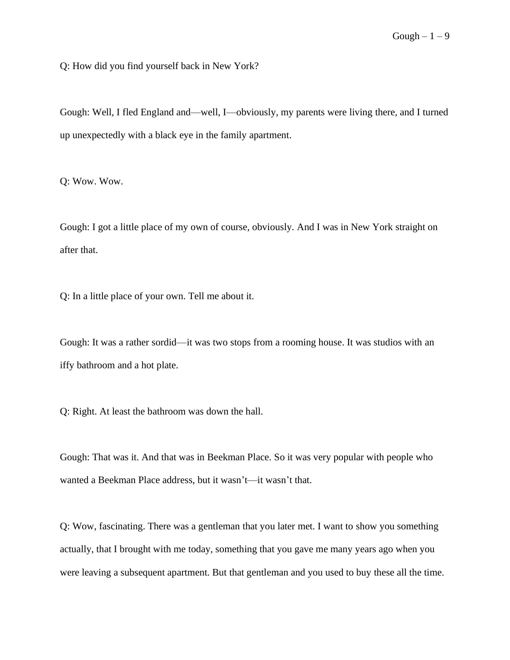Q: How did you find yourself back in New York?

Gough: Well, I fled England and––well, I––obviously, my parents were living there, and I turned up unexpectedly with a black eye in the family apartment.

Q: Wow. Wow.

Gough: I got a little place of my own of course, obviously. And I was in New York straight on after that.

Q: In a little place of your own. Tell me about it.

Gough: It was a rather sordid––it was two stops from a rooming house. It was studios with an iffy bathroom and a hot plate.

Q: Right. At least the bathroom was down the hall.

Gough: That was it. And that was in Beekman Place. So it was very popular with people who wanted a Beekman Place address, but it wasn't—it wasn't that.

Q: Wow, fascinating. There was a gentleman that you later met. I want to show you something actually, that I brought with me today, something that you gave me many years ago when you were leaving a subsequent apartment. But that gentleman and you used to buy these all the time.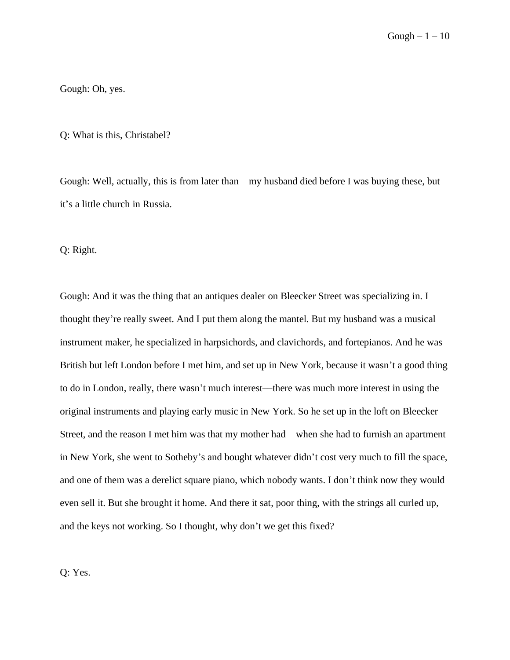Gough: Oh, yes.

Q: What is this, Christabel?

Gough: Well, actually, this is from later than––my husband died before I was buying these, but it's a little church in Russia.

Q: Right.

Gough: And it was the thing that an antiques dealer on Bleecker Street was specializing in. I thought they're really sweet. And I put them along the mantel. But my husband was a musical instrument maker, he specialized in harpsichords, and clavichords, and fortepianos. And he was British but left London before I met him, and set up in New York, because it wasn't a good thing to do in London, really, there wasn't much interest––there was much more interest in using the original instruments and playing early music in New York. So he set up in the loft on Bleecker Street, and the reason I met him was that my mother had––when she had to furnish an apartment in New York, she went to Sotheby's and bought whatever didn't cost very much to fill the space, and one of them was a derelict square piano, which nobody wants. I don't think now they would even sell it. But she brought it home. And there it sat, poor thing, with the strings all curled up, and the keys not working. So I thought, why don't we get this fixed?

Q: Yes.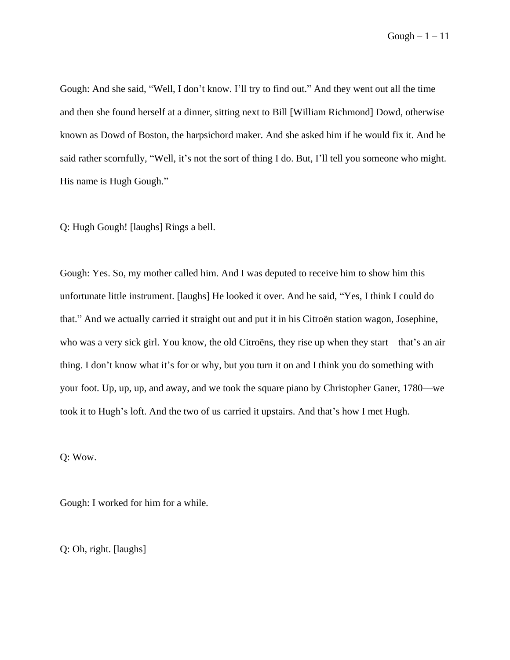Gough: And she said, "Well, I don't know. I'll try to find out." And they went out all the time and then she found herself at a dinner, sitting next to Bill [William Richmond] Dowd, otherwise known as Dowd of Boston, the harpsichord maker. And she asked him if he would fix it. And he said rather scornfully, "Well, it's not the sort of thing I do. But, I'll tell you someone who might. His name is Hugh Gough."

Q: Hugh Gough! [laughs] Rings a bell.

Gough: Yes. So, my mother called him. And I was deputed to receive him to show him this unfortunate little instrument. [laughs] He looked it over. And he said, "Yes, I think I could do that." And we actually carried it straight out and put it in his Citroën station wagon, Josephine, who was a very sick girl. You know, the old Citroëns, they rise up when they start––that's an air thing. I don't know what it's for or why, but you turn it on and I think you do something with your foot. Up, up, up, and away, and we took the square piano by Christopher Ganer, 1780––we took it to Hugh's loft. And the two of us carried it upstairs. And that's how I met Hugh.

Q: Wow.

Gough: I worked for him for a while.

Q: Oh, right. [laughs]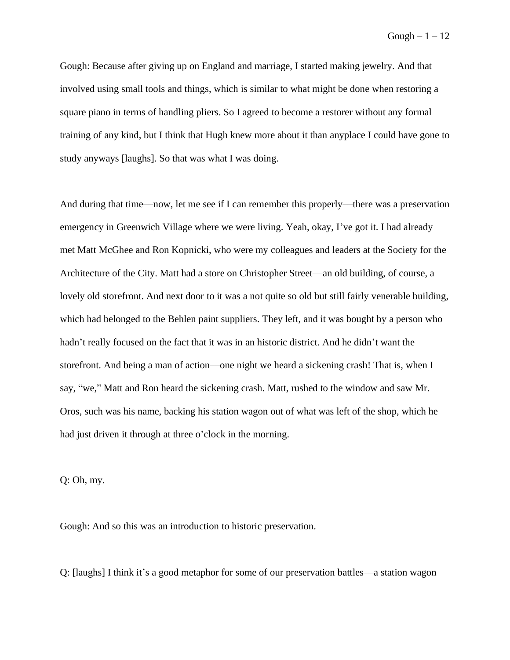Gough  $-1-12$ 

Gough: Because after giving up on England and marriage, I started making jewelry. And that involved using small tools and things, which is similar to what might be done when restoring a square piano in terms of handling pliers. So I agreed to become a restorer without any formal training of any kind, but I think that Hugh knew more about it than anyplace I could have gone to study anyways [laughs]. So that was what I was doing.

And during that time––now, let me see if I can remember this properly––there was a preservation emergency in Greenwich Village where we were living. Yeah, okay, I've got it. I had already met Matt McGhee and Ron Kopnicki, who were my colleagues and leaders at the Society for the Architecture of the City. Matt had a store on Christopher Street––an old building, of course, a lovely old storefront. And next door to it was a not quite so old but still fairly venerable building, which had belonged to the Behlen paint suppliers. They left, and it was bought by a person who hadn't really focused on the fact that it was in an historic district. And he didn't want the storefront. And being a man of action––one night we heard a sickening crash! That is, when I say, "we," Matt and Ron heard the sickening crash. Matt, rushed to the window and saw Mr. Oros, such was his name, backing his station wagon out of what was left of the shop, which he had just driven it through at three o'clock in the morning.

Q: Oh, my.

Gough: And so this was an introduction to historic preservation.

Q: [laughs] I think it's a good metaphor for some of our preservation battles––a station wagon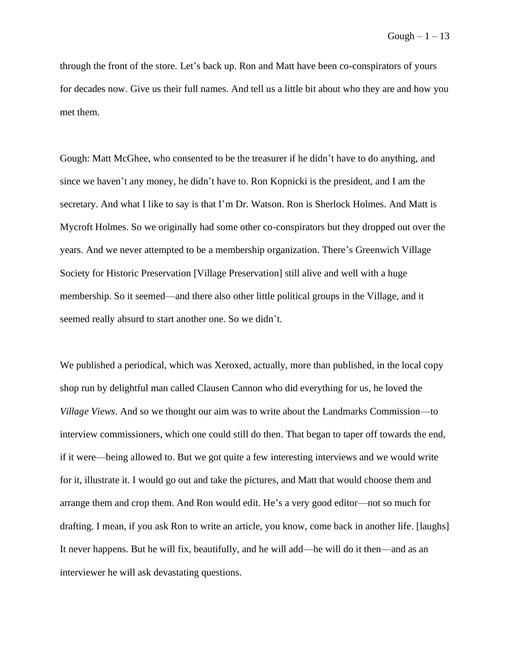Gough  $-1-13$ 

through the front of the store. Let's back up. Ron and Matt have been co-conspirators of yours for decades now. Give us their full names. And tell us a little bit about who they are and how you met them.

Gough: Matt McGhee, who consented to be the treasurer if he didn't have to do anything, and since we haven't any money, he didn't have to. Ron Kopnicki is the president, and I am the secretary. And what I like to say is that I'm Dr. Watson. Ron is Sherlock Holmes. And Matt is Mycroft Holmes. So we originally had some other co-conspirators but they dropped out over the years. And we never attempted to be a membership organization. There's Greenwich Village Society for Historic Preservation [Village Preservation] still alive and well with a huge membership. So it seemed––and there also other little political groups in the Village, and it seemed really absurd to start another one. So we didn't.

We published a periodical, which was Xeroxed, actually, more than published, in the local copy shop run by delightful man called Clausen Cannon who did everything for us, he loved the *Village Views*. And so we thought our aim was to write about the Landmarks Commission––to interview commissioners, which one could still do then. That began to taper off towards the end, if it were––being allowed to. But we got quite a few interesting interviews and we would write for it, illustrate it. I would go out and take the pictures, and Matt that would choose them and arrange them and crop them. And Ron would edit. He's a very good editor––not so much for drafting. I mean, if you ask Ron to write an article, you know, come back in another life. [laughs] It never happens. But he will fix, beautifully, and he will add––he will do it then––and as an interviewer he will ask devastating questions.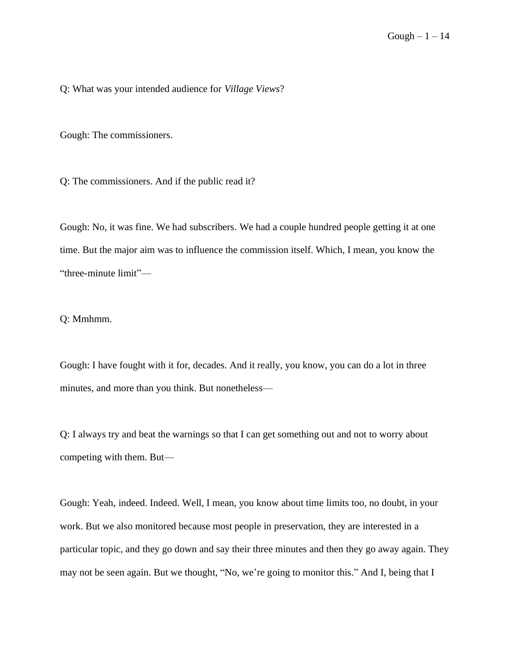Q: What was your intended audience for *Village Views*?

Gough: The commissioners.

Q: The commissioners. And if the public read it?

Gough: No, it was fine. We had subscribers. We had a couple hundred people getting it at one time. But the major aim was to influence the commission itself. Which, I mean, you know the "three-minute limit"––

Q: Mmhmm.

Gough: I have fought with it for, decades. And it really, you know, you can do a lot in three minutes, and more than you think. But nonetheless—

Q: I always try and beat the warnings so that I can get something out and not to worry about competing with them. But––

Gough: Yeah, indeed. Indeed. Well, I mean, you know about time limits too, no doubt, in your work. But we also monitored because most people in preservation, they are interested in a particular topic, and they go down and say their three minutes and then they go away again. They may not be seen again. But we thought, "No, we're going to monitor this." And I, being that I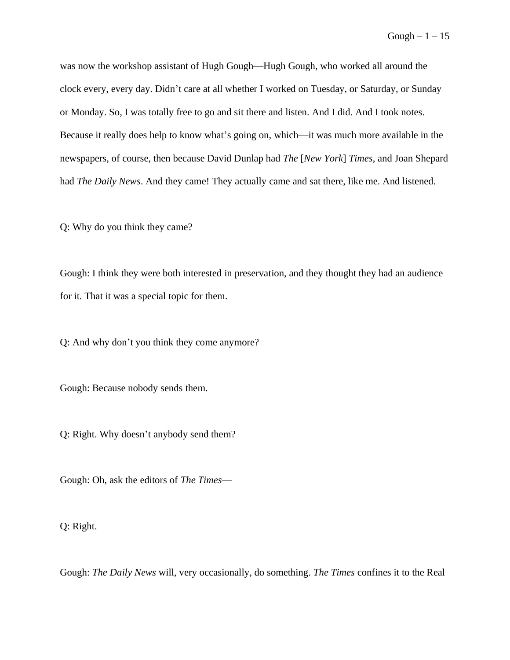was now the workshop assistant of Hugh Gough––Hugh Gough, who worked all around the clock every, every day. Didn't care at all whether I worked on Tuesday, or Saturday, or Sunday or Monday. So, I was totally free to go and sit there and listen. And I did. And I took notes. Because it really does help to know what's going on, which—it was much more available in the newspapers, of course, then because David Dunlap had *The* [*New York*] *Times*, and Joan Shepard had *The Daily News*. And they came! They actually came and sat there, like me. And listened.

Q: Why do you think they came?

Gough: I think they were both interested in preservation, and they thought they had an audience for it. That it was a special topic for them.

Q: And why don't you think they come anymore?

Gough: Because nobody sends them.

Q: Right. Why doesn't anybody send them?

Gough: Oh, ask the editors of *The Times*––

Q: Right.

Gough: *The Daily News* will, very occasionally, do something. *The Times* confines it to the Real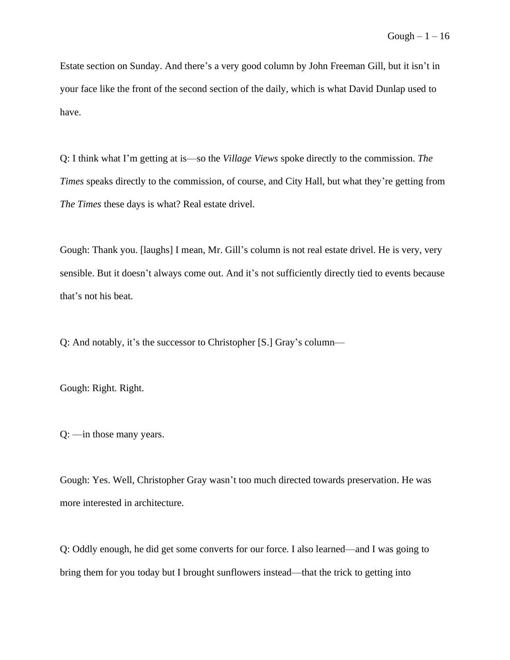Estate section on Sunday. And there's a very good column by John Freeman Gill, but it isn't in your face like the front of the second section of the daily, which is what David Dunlap used to have.

Q: I think what I'm getting at is––so the *Village Views* spoke directly to the commission. *The Times* speaks directly to the commission, of course, and City Hall, but what they're getting from *The Times* these days is what? Real estate drivel.

Gough: Thank you. [laughs] I mean, Mr. Gill's column is not real estate drivel. He is very, very sensible. But it doesn't always come out. And it's not sufficiently directly tied to events because that's not his beat.

Q: And notably, it's the successor to Christopher [S.] Gray's column––

Gough: Right. Right.

Q: ––in those many years.

Gough: Yes. Well, Christopher Gray wasn't too much directed towards preservation. He was more interested in architecture.

Q: Oddly enough, he did get some converts for our force. I also learned––and I was going to bring them for you today but I brought sunflowers instead––that the trick to getting into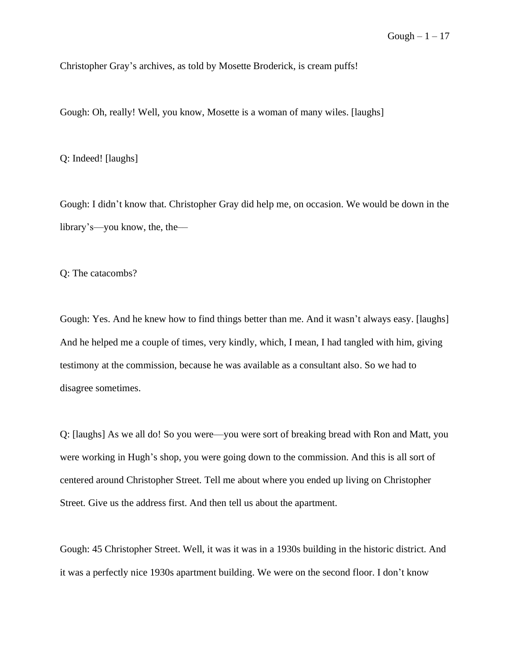Christopher Gray's archives, as told by Mosette Broderick, is cream puffs!

Gough: Oh, really! Well, you know, Mosette is a woman of many wiles. [laughs]

Q: Indeed! [laughs]

Gough: I didn't know that. Christopher Gray did help me, on occasion. We would be down in the library's––you know, the, the––

Q: The catacombs?

Gough: Yes. And he knew how to find things better than me. And it wasn't always easy. [laughs] And he helped me a couple of times, very kindly, which, I mean, I had tangled with him, giving testimony at the commission, because he was available as a consultant also. So we had to disagree sometimes.

Q: [laughs] As we all do! So you were––you were sort of breaking bread with Ron and Matt, you were working in Hugh's shop, you were going down to the commission. And this is all sort of centered around Christopher Street. Tell me about where you ended up living on Christopher Street. Give us the address first. And then tell us about the apartment.

Gough: 45 Christopher Street. Well, it was it was in a 1930s building in the historic district. And it was a perfectly nice 1930s apartment building. We were on the second floor. I don't know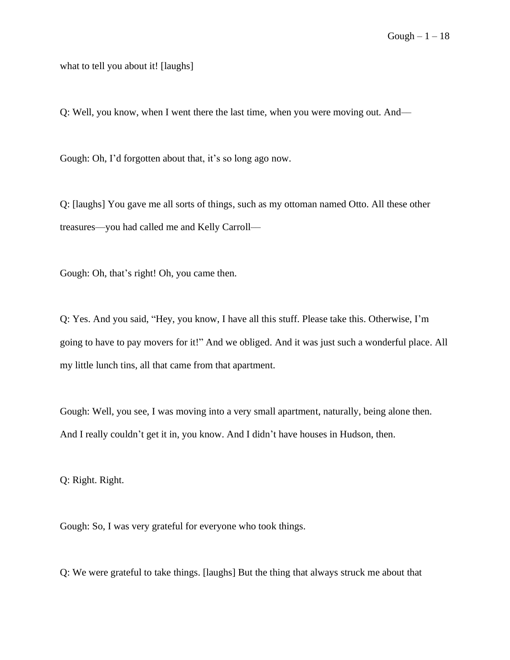what to tell you about it! [laughs]

Q: Well, you know, when I went there the last time, when you were moving out. And––

Gough: Oh, I'd forgotten about that, it's so long ago now.

Q: [laughs] You gave me all sorts of things, such as my ottoman named Otto. All these other treasures––you had called me and Kelly Carroll––

Gough: Oh, that's right! Oh, you came then.

Q: Yes. And you said, "Hey, you know, I have all this stuff. Please take this. Otherwise, I'm going to have to pay movers for it!" And we obliged. And it was just such a wonderful place. All my little lunch tins, all that came from that apartment.

Gough: Well, you see, I was moving into a very small apartment, naturally, being alone then. And I really couldn't get it in, you know. And I didn't have houses in Hudson, then.

Q: Right. Right.

Gough: So, I was very grateful for everyone who took things.

Q: We were grateful to take things. [laughs] But the thing that always struck me about that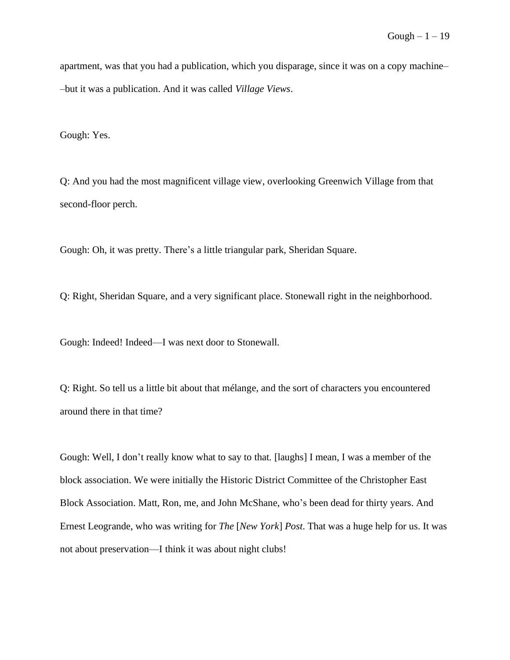apartment, was that you had a publication, which you disparage, since it was on a copy machine– –but it was a publication. And it was called *Village Views*.

Gough: Yes.

Q: And you had the most magnificent village view, overlooking Greenwich Village from that second-floor perch.

Gough: Oh, it was pretty. There's a little triangular park, Sheridan Square.

Q: Right, Sheridan Square, and a very significant place. Stonewall right in the neighborhood.

Gough: Indeed! Indeed—I was next door to Stonewall.

Q: Right. So tell us a little bit about that mélange, and the sort of characters you encountered around there in that time?

Gough: Well, I don't really know what to say to that. [laughs] I mean, I was a member of the block association. We were initially the Historic District Committee of the Christopher East Block Association. Matt, Ron, me, and John McShane, who's been dead for thirty years. And Ernest Leogrande, who was writing for *The* [*New York*] *Post*. That was a huge help for us. It was not about preservation––I think it was about night clubs!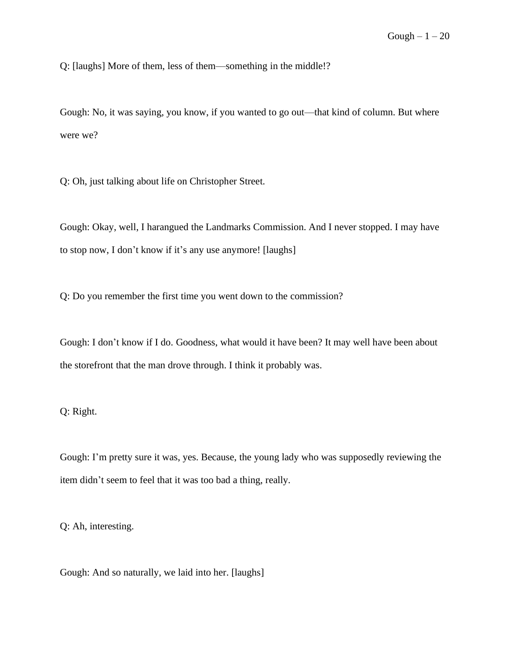Q: [laughs] More of them, less of them––something in the middle!?

Gough: No, it was saying, you know, if you wanted to go out—that kind of column. But where were we?

Q: Oh, just talking about life on Christopher Street.

Gough: Okay, well, I harangued the Landmarks Commission. And I never stopped. I may have to stop now, I don't know if it's any use anymore! [laughs]

Q: Do you remember the first time you went down to the commission?

Gough: I don't know if I do. Goodness, what would it have been? It may well have been about the storefront that the man drove through. I think it probably was.

Q: Right.

Gough: I'm pretty sure it was, yes. Because, the young lady who was supposedly reviewing the item didn't seem to feel that it was too bad a thing, really.

Q: Ah, interesting.

Gough: And so naturally, we laid into her. [laughs]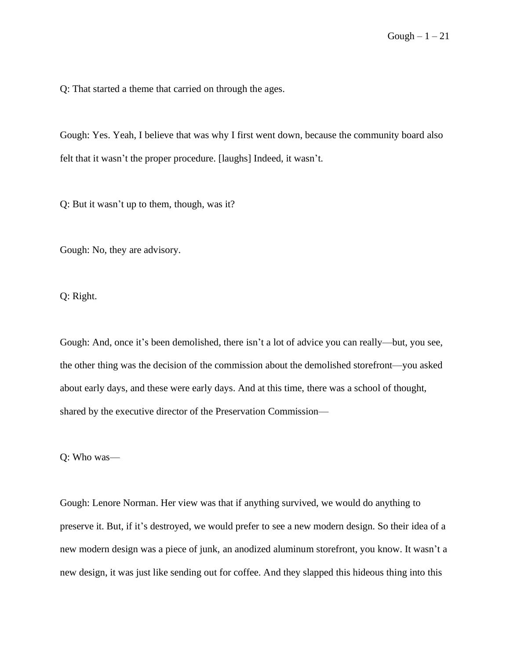Q: That started a theme that carried on through the ages.

Gough: Yes. Yeah, I believe that was why I first went down, because the community board also felt that it wasn't the proper procedure. [laughs] Indeed, it wasn't.

Q: But it wasn't up to them, though, was it?

Gough: No, they are advisory.

Q: Right.

Gough: And, once it's been demolished, there isn't a lot of advice you can really––but, you see, the other thing was the decision of the commission about the demolished storefront––you asked about early days, and these were early days. And at this time, there was a school of thought, shared by the executive director of the Preservation Commission––

Q: Who was––

Gough: Lenore Norman. Her view was that if anything survived, we would do anything to preserve it. But, if it's destroyed, we would prefer to see a new modern design. So their idea of a new modern design was a piece of junk, an anodized aluminum storefront, you know. It wasn't a new design, it was just like sending out for coffee. And they slapped this hideous thing into this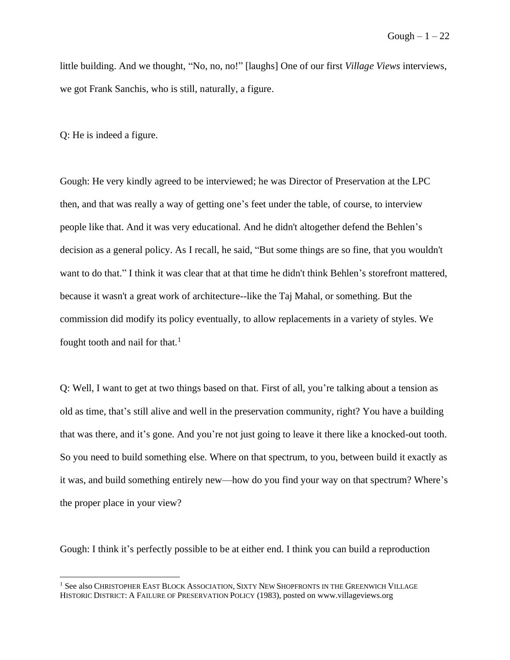little building. And we thought, "No, no, no!" [laughs] One of our first *Village Views* interviews, we got Frank Sanchis, who is still, naturally, a figure.

Q: He is indeed a figure.

Gough: He very kindly agreed to be interviewed; he was Director of Preservation at the LPC then, and that was really a way of getting one's feet under the table, of course, to interview people like that. And it was very educational. And he didn't altogether defend the Behlen's decision as a general policy. As I recall, he said, "But some things are so fine, that you wouldn't want to do that." I think it was clear that at that time he didn't think Behlen's storefront mattered, because it wasn't a great work of architecture--like the Taj Mahal, or something. But the commission did modify its policy eventually, to allow replacements in a variety of styles. We fought tooth and nail for that. $<sup>1</sup>$ </sup>

Q: Well, I want to get at two things based on that. First of all, you're talking about a tension as old as time, that's still alive and well in the preservation community, right? You have a building that was there, and it's gone. And you're not just going to leave it there like a knocked-out tooth. So you need to build something else. Where on that spectrum, to you, between build it exactly as it was, and build something entirely new––how do you find your way on that spectrum? Where's the proper place in your view?

Gough: I think it's perfectly possible to be at either end. I think you can build a reproduction

<sup>&</sup>lt;sup>1</sup> See also CHRISTOPHER EAST BLOCK ASSOCIATION, SIXTY NEW SHOPFRONTS IN THE GREENWICH VILLAGE HISTORIC DISTRICT: A FAILURE OF PRESERVATION POLICY (1983), posted on www.villageviews.org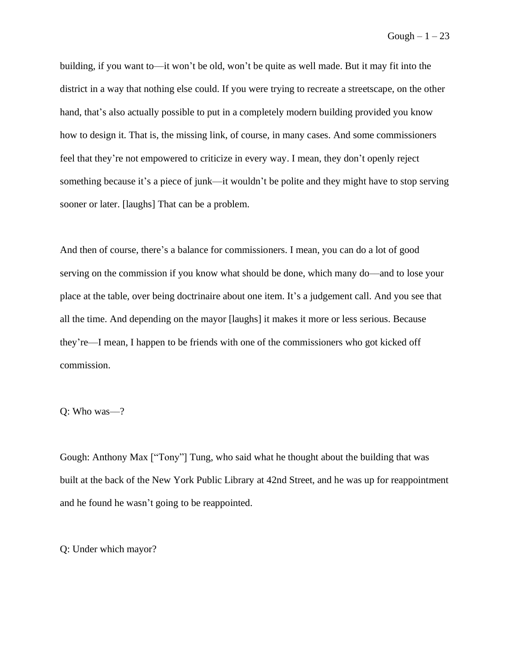Gough  $-1-23$ 

building, if you want to—it won't be old, won't be quite as well made. But it may fit into the district in a way that nothing else could. If you were trying to recreate a streetscape, on the other hand, that's also actually possible to put in a completely modern building provided you know how to design it. That is, the missing link, of course, in many cases. And some commissioners feel that they're not empowered to criticize in every way. I mean, they don't openly reject something because it's a piece of junk—it wouldn't be polite and they might have to stop serving sooner or later. [laughs] That can be a problem.

And then of course, there's a balance for commissioners. I mean, you can do a lot of good serving on the commission if you know what should be done, which many do––and to lose your place at the table, over being doctrinaire about one item. It's a judgement call. And you see that all the time. And depending on the mayor [laughs] it makes it more or less serious. Because they're––I mean, I happen to be friends with one of the commissioners who got kicked off commission.

Q: Who was-?

Gough: Anthony Max ["Tony"] Tung, who said what he thought about the building that was built at the back of the New York Public Library at 42nd Street, and he was up for reappointment and he found he wasn't going to be reappointed.

Q: Under which mayor?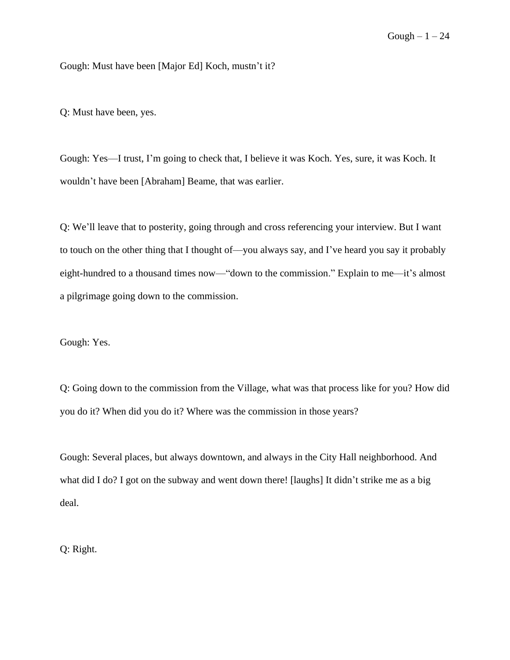Gough: Must have been [Major Ed] Koch, mustn't it?

Q: Must have been, yes.

Gough: Yes––I trust, I'm going to check that, I believe it was Koch. Yes, sure, it was Koch. It wouldn't have been [Abraham] Beame, that was earlier.

Q: We'll leave that to posterity, going through and cross referencing your interview. But I want to touch on the other thing that I thought of—you always say, and I've heard you say it probably eight-hundred to a thousand times now—"down to the commission." Explain to me—it's almost a pilgrimage going down to the commission.

Gough: Yes.

Q: Going down to the commission from the Village, what was that process like for you? How did you do it? When did you do it? Where was the commission in those years?

Gough: Several places, but always downtown, and always in the City Hall neighborhood. And what did I do? I got on the subway and went down there! [laughs] It didn't strike me as a big deal.

Q: Right.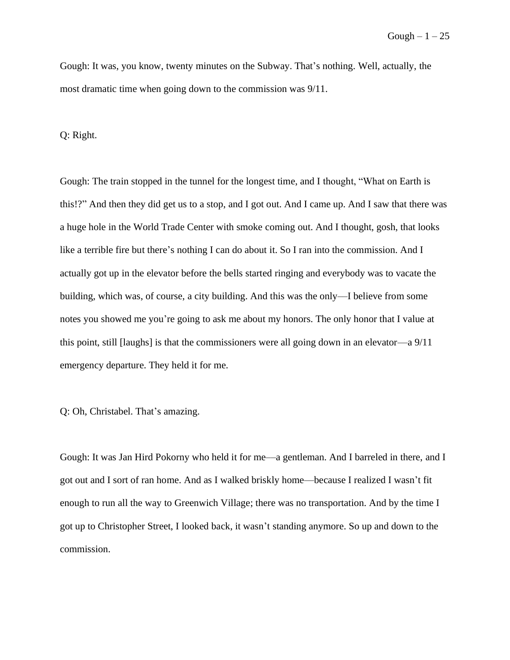Gough: It was, you know, twenty minutes on the Subway. That's nothing. Well, actually, the most dramatic time when going down to the commission was 9/11.

Q: Right.

Gough: The train stopped in the tunnel for the longest time, and I thought, "What on Earth is this!?" And then they did get us to a stop, and I got out. And I came up. And I saw that there was a huge hole in the World Trade Center with smoke coming out. And I thought, gosh, that looks like a terrible fire but there's nothing I can do about it. So I ran into the commission. And I actually got up in the elevator before the bells started ringing and everybody was to vacate the building, which was, of course, a city building. And this was the only––I believe from some notes you showed me you're going to ask me about my honors. The only honor that I value at this point, still [laughs] is that the commissioners were all going down in an elevator—a 9/11 emergency departure. They held it for me.

Q: Oh, Christabel. That's amazing.

Gough: It was Jan Hird Pokorny who held it for me––a gentleman. And I barreled in there, and I got out and I sort of ran home. And as I walked briskly home––because I realized I wasn't fit enough to run all the way to Greenwich Village; there was no transportation. And by the time I got up to Christopher Street, I looked back, it wasn't standing anymore. So up and down to the commission.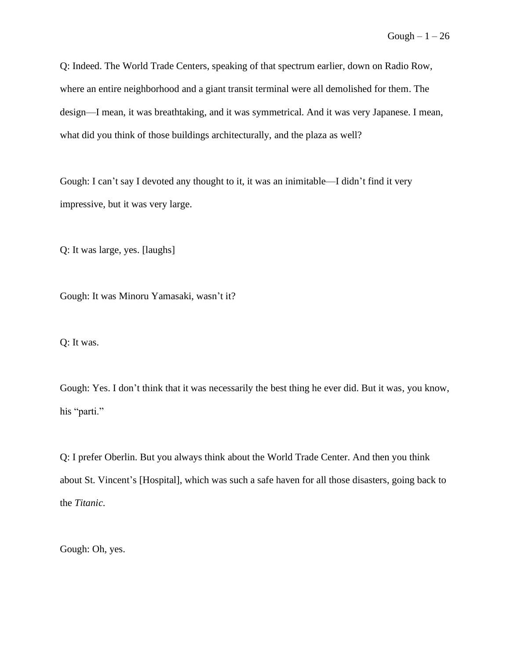Q: Indeed. The World Trade Centers, speaking of that spectrum earlier, down on Radio Row, where an entire neighborhood and a giant transit terminal were all demolished for them. The design––I mean, it was breathtaking, and it was symmetrical. And it was very Japanese. I mean, what did you think of those buildings architecturally, and the plaza as well?

Gough: I can't say I devoted any thought to it, it was an inimitable––I didn't find it very impressive, but it was very large.

Q: It was large, yes. [laughs]

Gough: It was Minoru Yamasaki, wasn't it?

Q: It was.

Gough: Yes. I don't think that it was necessarily the best thing he ever did. But it was, you know, his "parti."

Q: I prefer Oberlin. But you always think about the World Trade Center. And then you think about St. Vincent's [Hospital], which was such a safe haven for all those disasters, going back to the *Titanic*.

Gough: Oh, yes.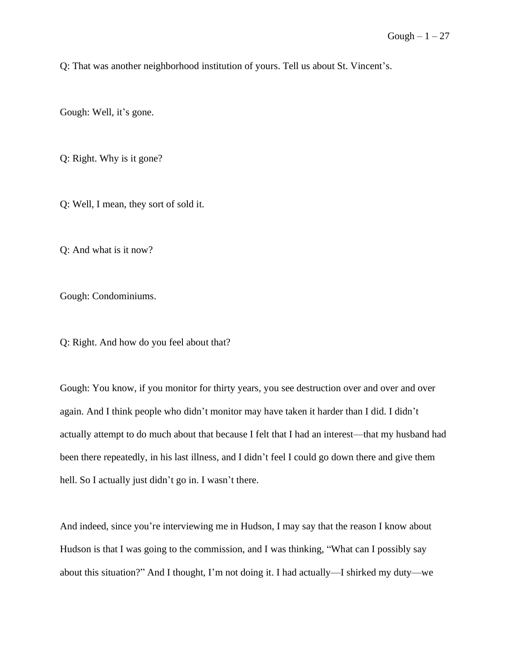Q: That was another neighborhood institution of yours. Tell us about St. Vincent's.

Gough: Well, it's gone.

Q: Right. Why is it gone?

Q: Well, I mean, they sort of sold it.

Q: And what is it now?

Gough: Condominiums.

Q: Right. And how do you feel about that?

Gough: You know, if you monitor for thirty years, you see destruction over and over and over again. And I think people who didn't monitor may have taken it harder than I did. I didn't actually attempt to do much about that because I felt that I had an interest––that my husband had been there repeatedly, in his last illness, and I didn't feel I could go down there and give them hell. So I actually just didn't go in. I wasn't there.

And indeed, since you're interviewing me in Hudson, I may say that the reason I know about Hudson is that I was going to the commission, and I was thinking, "What can I possibly say about this situation?" And I thought, I'm not doing it. I had actually––I shirked my duty––we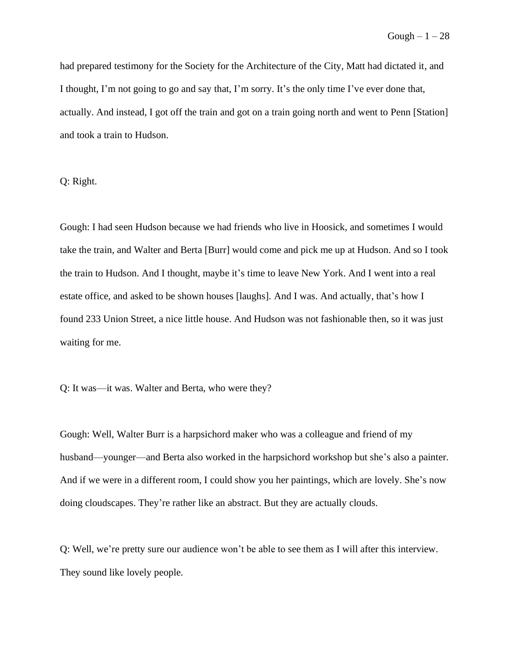had prepared testimony for the Society for the Architecture of the City, Matt had dictated it, and I thought, I'm not going to go and say that, I'm sorry. It's the only time I've ever done that, actually. And instead, I got off the train and got on a train going north and went to Penn [Station] and took a train to Hudson.

Q: Right.

Gough: I had seen Hudson because we had friends who live in Hoosick, and sometimes I would take the train, and Walter and Berta [Burr] would come and pick me up at Hudson. And so I took the train to Hudson. And I thought, maybe it's time to leave New York. And I went into a real estate office, and asked to be shown houses [laughs]. And I was. And actually, that's how I found 233 Union Street, a nice little house. And Hudson was not fashionable then, so it was just waiting for me.

Q: It was––it was. Walter and Berta, who were they?

Gough: Well, Walter Burr is a harpsichord maker who was a colleague and friend of my husband—younger—and Berta also worked in the harpsichord workshop but she's also a painter. And if we were in a different room, I could show you her paintings, which are lovely. She's now doing cloudscapes. They're rather like an abstract. But they are actually clouds.

Q: Well, we're pretty sure our audience won't be able to see them as I will after this interview. They sound like lovely people.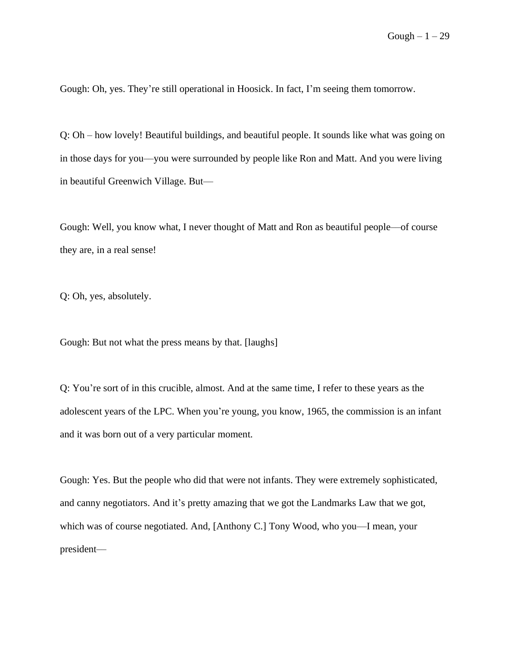Gough: Oh, yes. They're still operational in Hoosick. In fact, I'm seeing them tomorrow.

Q: Oh – how lovely! Beautiful buildings, and beautiful people. It sounds like what was going on in those days for you––you were surrounded by people like Ron and Matt. And you were living in beautiful Greenwich Village. But—

Gough: Well, you know what, I never thought of Matt and Ron as beautiful people––of course they are, in a real sense!

Q: Oh, yes, absolutely.

Gough: But not what the press means by that. [laughs]

Q: You're sort of in this crucible, almost. And at the same time, I refer to these years as the adolescent years of the LPC. When you're young, you know, 1965, the commission is an infant and it was born out of a very particular moment.

Gough: Yes. But the people who did that were not infants. They were extremely sophisticated, and canny negotiators. And it's pretty amazing that we got the Landmarks Law that we got, which was of course negotiated. And, [Anthony C.] Tony Wood, who you—I mean, your president––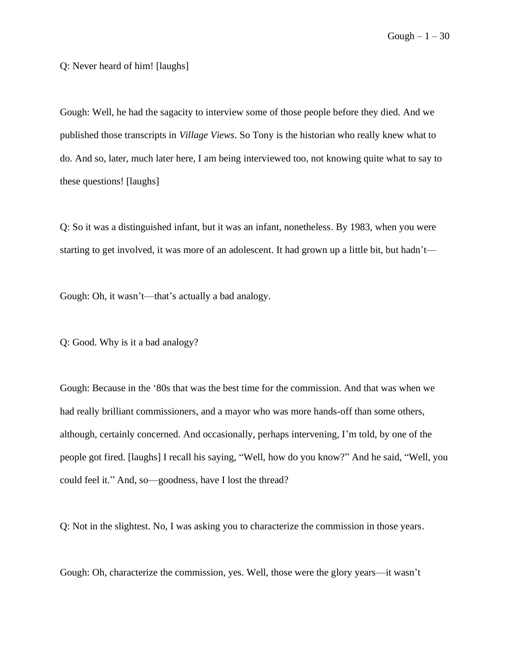Q: Never heard of him! [laughs]

Gough: Well, he had the sagacity to interview some of those people before they died. And we published those transcripts in *Village Views*. So Tony is the historian who really knew what to do. And so, later, much later here, I am being interviewed too, not knowing quite what to say to these questions! [laughs]

Q: So it was a distinguished infant, but it was an infant, nonetheless. By 1983, when you were starting to get involved, it was more of an adolescent. It had grown up a little bit, but hadn't—

Gough: Oh, it wasn't—that's actually a bad analogy.

Q: Good. Why is it a bad analogy?

Gough: Because in the '80s that was the best time for the commission. And that was when we had really brilliant commissioners, and a mayor who was more hands-off than some others, although, certainly concerned. And occasionally, perhaps intervening, I'm told, by one of the people got fired. [laughs] I recall his saying, "Well, how do you know?" And he said, "Well, you could feel it." And, so––goodness, have I lost the thread?

Q: Not in the slightest. No, I was asking you to characterize the commission in those years.

Gough: Oh, characterize the commission, yes. Well, those were the glory years––it wasn't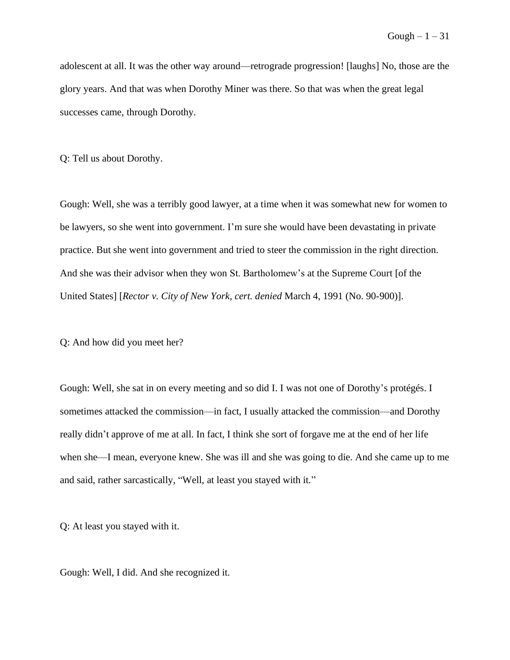adolescent at all. It was the other way around––retrograde progression! [laughs] No, those are the glory years. And that was when Dorothy Miner was there. So that was when the great legal successes came, through Dorothy.

Q: Tell us about Dorothy.

Gough: Well, she was a terribly good lawyer, at a time when it was somewhat new for women to be lawyers, so she went into government. I'm sure she would have been devastating in private practice. But she went into government and tried to steer the commission in the right direction. And she was their advisor when they won St. Bartholomew's at the Supreme Court [of the United States] [*Rector v. City of New York*, *cert. denied* March 4, 1991 (No. 90-900)].

Q: And how did you meet her?

Gough: Well, she sat in on every meeting and so did I. I was not one of Dorothy's protégés. I sometimes attacked the commission—in fact, I usually attacked the commission—and Dorothy really didn't approve of me at all. In fact, I think she sort of forgave me at the end of her life when she––I mean, everyone knew. She was ill and she was going to die. And she came up to me and said, rather sarcastically, "Well, at least you stayed with it."

Q: At least you stayed with it.

Gough: Well, I did. And she recognized it.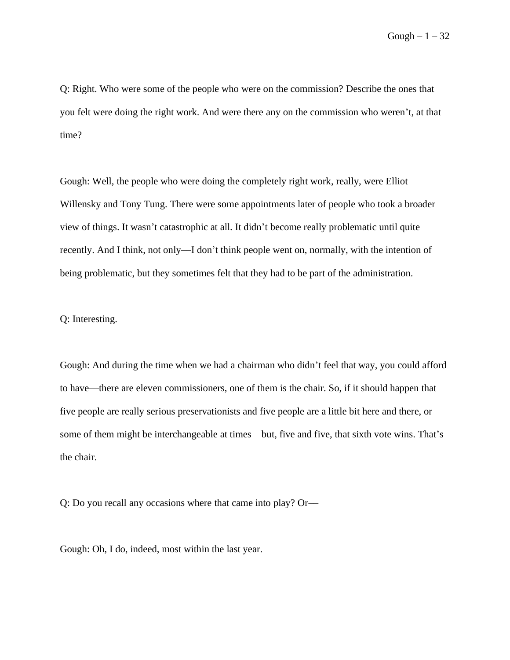Q: Right. Who were some of the people who were on the commission? Describe the ones that you felt were doing the right work. And were there any on the commission who weren't, at that time?

Gough: Well, the people who were doing the completely right work, really, were Elliot Willensky and Tony Tung. There were some appointments later of people who took a broader view of things. It wasn't catastrophic at all. It didn't become really problematic until quite recently. And I think, not only––I don't think people went on, normally, with the intention of being problematic, but they sometimes felt that they had to be part of the administration.

Q: Interesting.

Gough: And during the time when we had a chairman who didn't feel that way, you could afford to have––there are eleven commissioners, one of them is the chair. So, if it should happen that five people are really serious preservationists and five people are a little bit here and there, or some of them might be interchangeable at times—but, five and five, that sixth vote wins. That's the chair.

Q: Do you recall any occasions where that came into play? Or—

Gough: Oh, I do, indeed, most within the last year.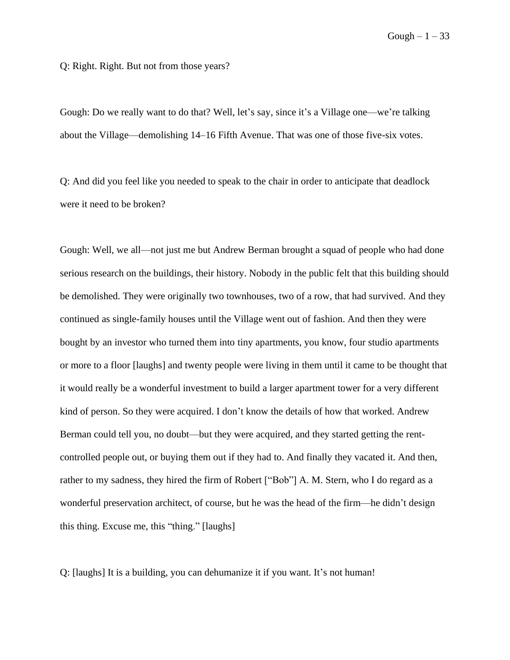Q: Right. Right. But not from those years?

Gough: Do we really want to do that? Well, let's say, since it's a Village one––we're talking about the Village––demolishing 14–16 Fifth Avenue. That was one of those five-six votes.

Q: And did you feel like you needed to speak to the chair in order to anticipate that deadlock were it need to be broken?

Gough: Well, we all––not just me but Andrew Berman brought a squad of people who had done serious research on the buildings, their history. Nobody in the public felt that this building should be demolished. They were originally two townhouses, two of a row, that had survived. And they continued as single-family houses until the Village went out of fashion. And then they were bought by an investor who turned them into tiny apartments, you know, four studio apartments or more to a floor [laughs] and twenty people were living in them until it came to be thought that it would really be a wonderful investment to build a larger apartment tower for a very different kind of person. So they were acquired. I don't know the details of how that worked. Andrew Berman could tell you, no doubt––but they were acquired, and they started getting the rentcontrolled people out, or buying them out if they had to. And finally they vacated it. And then, rather to my sadness, they hired the firm of Robert ["Bob"] A. M. Stern, who I do regard as a wonderful preservation architect, of course, but he was the head of the firm––he didn't design this thing. Excuse me, this "thing." [laughs]

Q: [laughs] It is a building, you can dehumanize it if you want. It's not human!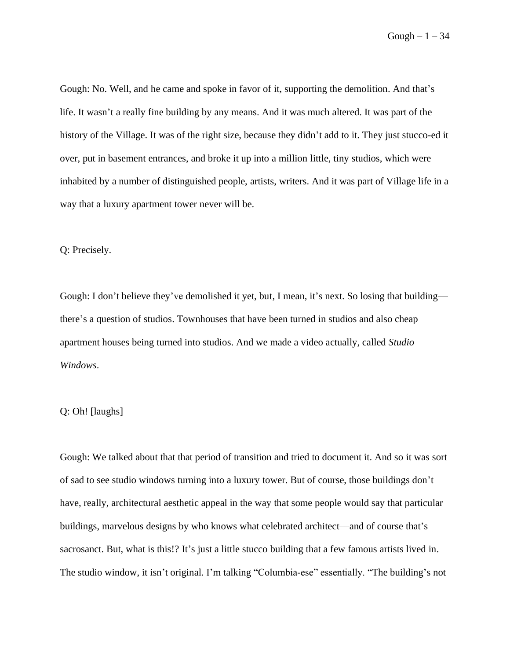Gough: No. Well, and he came and spoke in favor of it, supporting the demolition. And that's life. It wasn't a really fine building by any means. And it was much altered. It was part of the history of the Village. It was of the right size, because they didn't add to it. They just stucco-ed it over, put in basement entrances, and broke it up into a million little, tiny studios, which were inhabited by a number of distinguished people, artists, writers. And it was part of Village life in a way that a luxury apartment tower never will be.

Q: Precisely.

Gough: I don't believe they've demolished it yet, but, I mean, it's next. So losing that building–– there's a question of studios. Townhouses that have been turned in studios and also cheap apartment houses being turned into studios. And we made a video actually, called *Studio Windows*.

## Q: Oh! [laughs]

Gough: We talked about that that period of transition and tried to document it. And so it was sort of sad to see studio windows turning into a luxury tower. But of course, those buildings don't have, really, architectural aesthetic appeal in the way that some people would say that particular buildings, marvelous designs by who knows what celebrated architect––and of course that's sacrosanct. But, what is this!? It's just a little stucco building that a few famous artists lived in. The studio window, it isn't original. I'm talking "Columbia-ese" essentially. "The building's not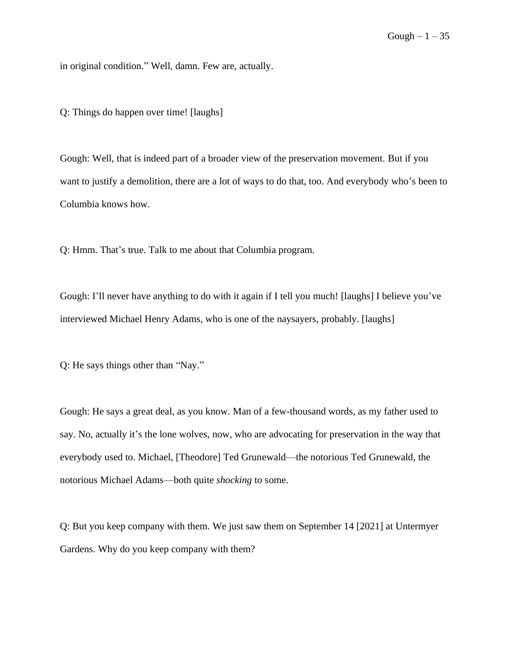in original condition." Well, damn. Few are, actually.

Q: Things do happen over time! [laughs]

Gough: Well, that is indeed part of a broader view of the preservation movement. But if you want to justify a demolition, there are a lot of ways to do that, too. And everybody who's been to Columbia knows how.

Q: Hmm. That's true. Talk to me about that Columbia program.

Gough: I'll never have anything to do with it again if I tell you much! [laughs] I believe you've interviewed Michael Henry Adams, who is one of the naysayers, probably. [laughs]

Q: He says things other than "Nay."

Gough: He says a great deal, as you know. Man of a few-thousand words, as my father used to say. No, actually it's the lone wolves, now, who are advocating for preservation in the way that everybody used to. Michael, [Theodore] Ted Grunewald––the notorious Ted Grunewald, the notorious Michael Adams––both quite *shocking* to some.

Q: But you keep company with them. We just saw them on September 14 [2021] at Untermyer Gardens. Why do you keep company with them?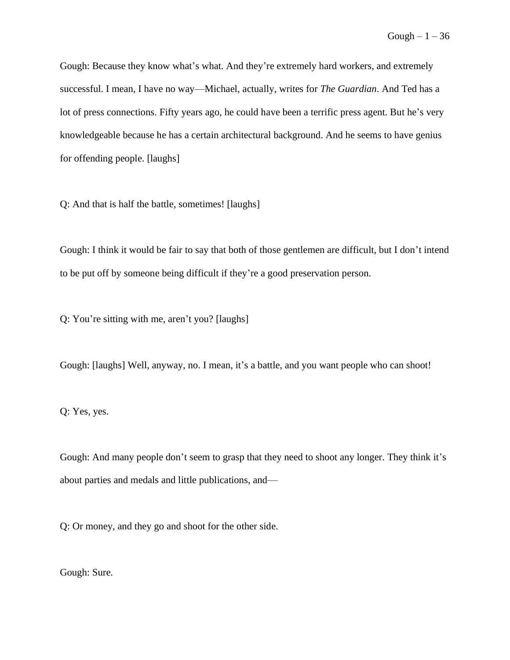Gough: Because they know what's what. And they're extremely hard workers, and extremely successful. I mean, I have no way––Michael, actually, writes for *The Guardian*. And Ted has a lot of press connections. Fifty years ago, he could have been a terrific press agent. But he's very knowledgeable because he has a certain architectural background. And he seems to have genius for offending people. [laughs]

Q: And that is half the battle, sometimes! [laughs]

Gough: I think it would be fair to say that both of those gentlemen are difficult, but I don't intend to be put off by someone being difficult if they're a good preservation person.

Q: You're sitting with me, aren't you? [laughs]

Gough: [laughs] Well, anyway, no. I mean, it's a battle, and you want people who can shoot!

Q: Yes, yes.

Gough: And many people don't seem to grasp that they need to shoot any longer. They think it's about parties and medals and little publications, and––

Q: Or money, and they go and shoot for the other side.

Gough: Sure.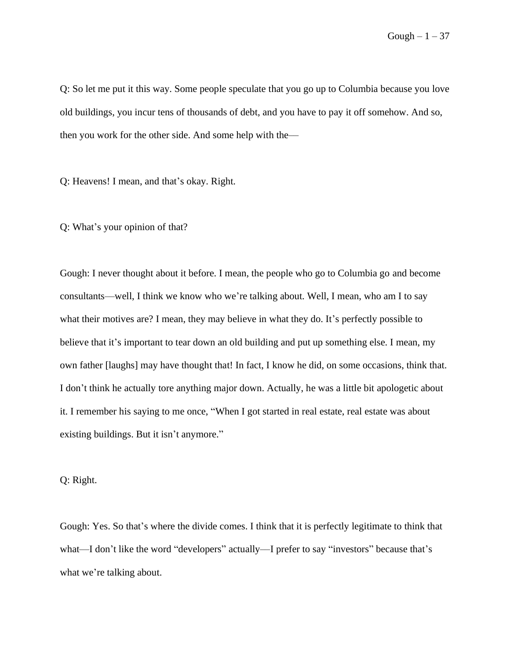Gough  $-1-37$ 

Q: So let me put it this way. Some people speculate that you go up to Columbia because you love old buildings, you incur tens of thousands of debt, and you have to pay it off somehow. And so, then you work for the other side. And some help with the––

Q: Heavens! I mean, and that's okay. Right.

Q: What's your opinion of that?

Gough: I never thought about it before. I mean, the people who go to Columbia go and become consultants––well, I think we know who we're talking about. Well, I mean, who am I to say what their motives are? I mean, they may believe in what they do. It's perfectly possible to believe that it's important to tear down an old building and put up something else. I mean, my own father [laughs] may have thought that! In fact, I know he did, on some occasions, think that. I don't think he actually tore anything major down. Actually, he was a little bit apologetic about it. I remember his saying to me once, "When I got started in real estate, real estate was about existing buildings. But it isn't anymore."

Q: Right.

Gough: Yes. So that's where the divide comes. I think that it is perfectly legitimate to think that what—I don't like the word "developers" actually—I prefer to say "investors" because that's what we're talking about.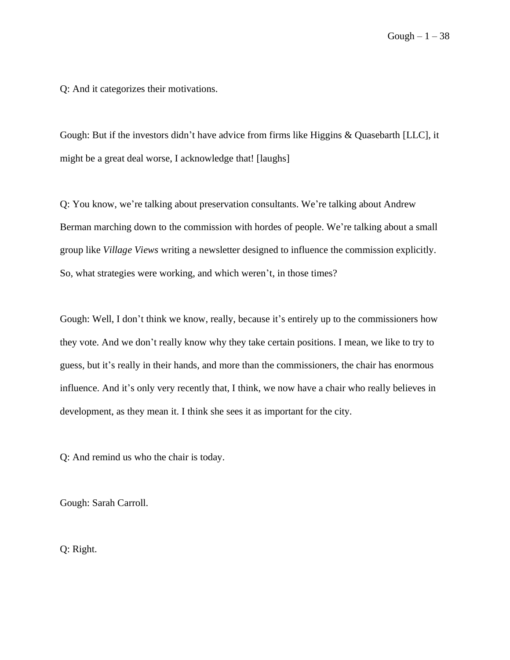Q: And it categorizes their motivations.

Gough: But if the investors didn't have advice from firms like Higgins & Quasebarth [LLC], it might be a great deal worse, I acknowledge that! [laughs]

Q: You know, we're talking about preservation consultants. We're talking about Andrew Berman marching down to the commission with hordes of people. We're talking about a small group like *Village Views* writing a newsletter designed to influence the commission explicitly. So, what strategies were working, and which weren't, in those times?

Gough: Well, I don't think we know, really, because it's entirely up to the commissioners how they vote. And we don't really know why they take certain positions. I mean, we like to try to guess, but it's really in their hands, and more than the commissioners, the chair has enormous influence. And it's only very recently that, I think, we now have a chair who really believes in development, as they mean it. I think she sees it as important for the city.

Q: And remind us who the chair is today.

Gough: Sarah Carroll.

Q: Right.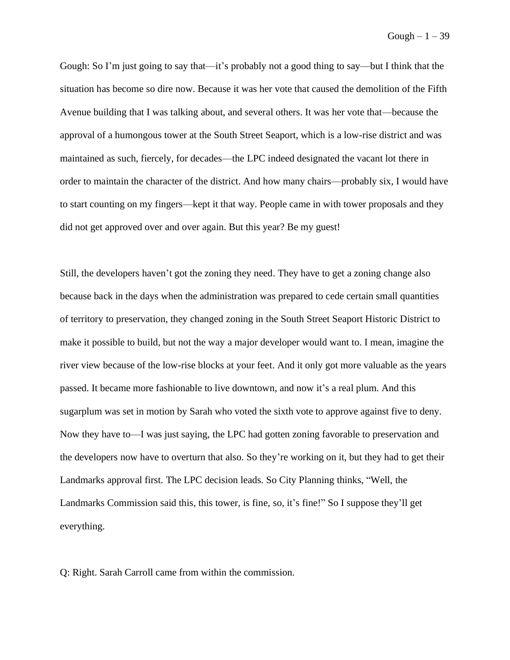Gough: So I'm just going to say that—it's probably not a good thing to say—but I think that the situation has become so dire now. Because it was her vote that caused the demolition of the Fifth Avenue building that I was talking about, and several others. It was her vote that––because the approval of a humongous tower at the South Street Seaport, which is a low-rise district and was maintained as such, fiercely, for decades––the LPC indeed designated the vacant lot there in order to maintain the character of the district. And how many chairs––probably six, I would have to start counting on my fingers––kept it that way. People came in with tower proposals and they did not get approved over and over again. But this year? Be my guest!

Still, the developers haven't got the zoning they need. They have to get a zoning change also because back in the days when the administration was prepared to cede certain small quantities of territory to preservation, they changed zoning in the South Street Seaport Historic District to make it possible to build, but not the way a major developer would want to. I mean, imagine the river view because of the low-rise blocks at your feet. And it only got more valuable as the years passed. It became more fashionable to live downtown, and now it's a real plum. And this sugarplum was set in motion by Sarah who voted the sixth vote to approve against five to deny. Now they have to––I was just saying, the LPC had gotten zoning favorable to preservation and the developers now have to overturn that also. So they're working on it, but they had to get their Landmarks approval first. The LPC decision leads. So City Planning thinks, "Well, the Landmarks Commission said this, this tower, is fine, so, it's fine!" So I suppose they'll get everything.

Q: Right. Sarah Carroll came from within the commission.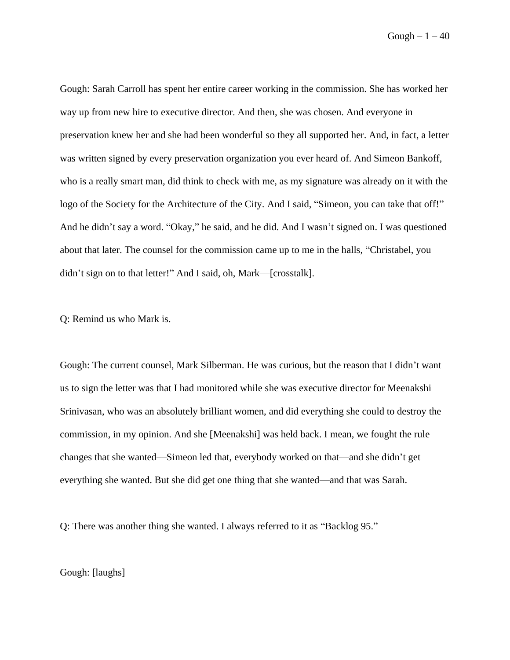$Gough - 1 - 40$ 

Gough: Sarah Carroll has spent her entire career working in the commission. She has worked her way up from new hire to executive director. And then, she was chosen. And everyone in preservation knew her and she had been wonderful so they all supported her. And, in fact, a letter was written signed by every preservation organization you ever heard of. And Simeon Bankoff, who is a really smart man, did think to check with me, as my signature was already on it with the logo of the Society for the Architecture of the City. And I said, "Simeon, you can take that off!" And he didn't say a word. "Okay," he said, and he did. And I wasn't signed on. I was questioned about that later. The counsel for the commission came up to me in the halls, "Christabel, you didn't sign on to that letter!" And I said, oh, Mark—[crosstalk].

Q: Remind us who Mark is.

Gough: The current counsel, Mark Silberman. He was curious, but the reason that I didn't want us to sign the letter was that I had monitored while she was executive director for Meenakshi Srinivasan, who was an absolutely brilliant women, and did everything she could to destroy the commission, in my opinion. And she [Meenakshi] was held back. I mean, we fought the rule changes that she wanted––Simeon led that, everybody worked on that––and she didn't get everything she wanted. But she did get one thing that she wanted—and that was Sarah.

Q: There was another thing she wanted. I always referred to it as "Backlog 95."

Gough: [laughs]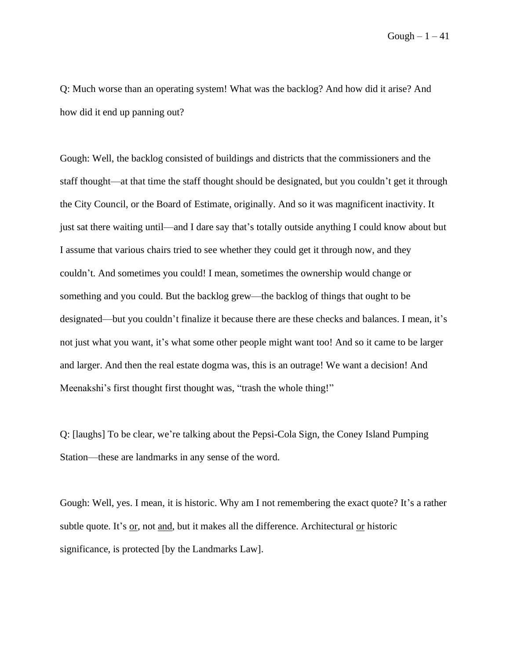Gough  $-1-41$ 

Q: Much worse than an operating system! What was the backlog? And how did it arise? And how did it end up panning out?

Gough: Well, the backlog consisted of buildings and districts that the commissioners and the staff thought––at that time the staff thought should be designated, but you couldn't get it through the City Council, or the Board of Estimate, originally. And so it was magnificent inactivity. It just sat there waiting until––and I dare say that's totally outside anything I could know about but I assume that various chairs tried to see whether they could get it through now, and they couldn't. And sometimes you could! I mean, sometimes the ownership would change or something and you could. But the backlog grew––the backlog of things that ought to be designated––but you couldn't finalize it because there are these checks and balances. I mean, it's not just what you want, it's what some other people might want too! And so it came to be larger and larger. And then the real estate dogma was, this is an outrage! We want a decision! And Meenakshi's first thought first thought was, "trash the whole thing!"

Q: [laughs] To be clear, we're talking about the Pepsi-Cola Sign, the Coney Island Pumping Station––these are landmarks in any sense of the word.

Gough: Well, yes. I mean, it is historic. Why am I not remembering the exact quote? It's a rather subtle quote. It's or, not and, but it makes all the difference. Architectural or historic significance, is protected [by the Landmarks Law].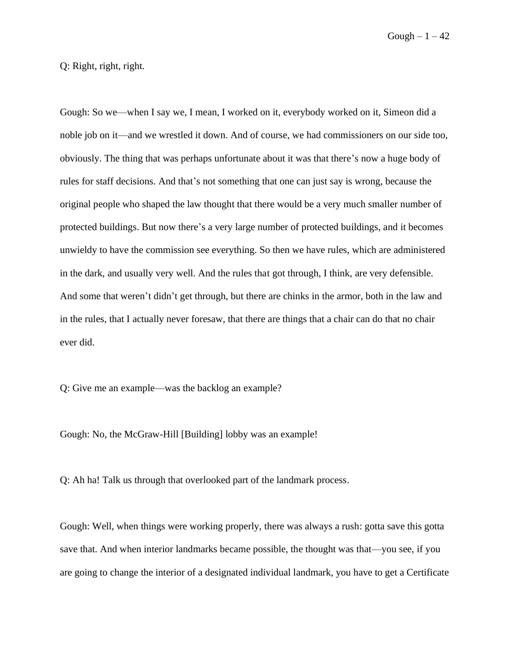$Gough - 1 - 42$ 

Q: Right, right, right.

Gough: So we––when I say we, I mean, I worked on it, everybody worked on it, Simeon did a noble job on it––and we wrestled it down. And of course, we had commissioners on our side too, obviously. The thing that was perhaps unfortunate about it was that there's now a huge body of rules for staff decisions. And that's not something that one can just say is wrong, because the original people who shaped the law thought that there would be a very much smaller number of protected buildings. But now there's a very large number of protected buildings, and it becomes unwieldy to have the commission see everything. So then we have rules, which are administered in the dark, and usually very well. And the rules that got through, I think, are very defensible. And some that weren't didn't get through, but there are chinks in the armor, both in the law and in the rules, that I actually never foresaw, that there are things that a chair can do that no chair ever did.

Q: Give me an example––was the backlog an example?

Gough: No, the McGraw-Hill [Building] lobby was an example!

Q: Ah ha! Talk us through that overlooked part of the landmark process.

Gough: Well, when things were working properly, there was always a rush: gotta save this gotta save that. And when interior landmarks became possible, the thought was that—you see, if you are going to change the interior of a designated individual landmark, you have to get a Certificate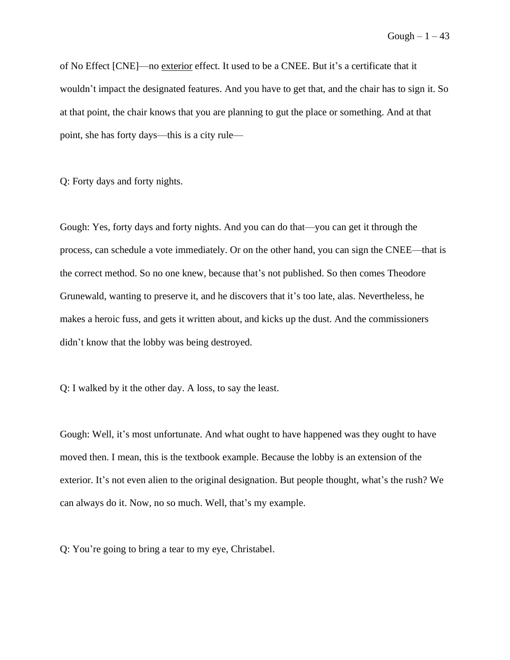Gough  $-1-43$ 

of No Effect [CNE]––no exterior effect. It used to be a CNEE. But it's a certificate that it wouldn't impact the designated features. And you have to get that, and the chair has to sign it. So at that point, the chair knows that you are planning to gut the place or something. And at that point, she has forty days––this is a city rule––

Q: Forty days and forty nights.

Gough: Yes, forty days and forty nights. And you can do that––you can get it through the process, can schedule a vote immediately. Or on the other hand, you can sign the CNEE––that is the correct method. So no one knew, because that's not published. So then comes Theodore Grunewald, wanting to preserve it, and he discovers that it's too late, alas. Nevertheless, he makes a heroic fuss, and gets it written about, and kicks up the dust. And the commissioners didn't know that the lobby was being destroyed.

Q: I walked by it the other day. A loss, to say the least.

Gough: Well, it's most unfortunate. And what ought to have happened was they ought to have moved then. I mean, this is the textbook example. Because the lobby is an extension of the exterior. It's not even alien to the original designation. But people thought, what's the rush? We can always do it. Now, no so much. Well, that's my example.

Q: You're going to bring a tear to my eye, Christabel.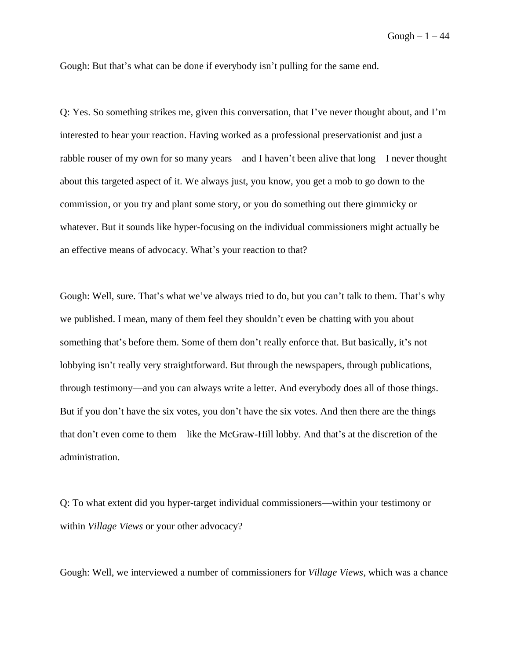Gough: But that's what can be done if everybody isn't pulling for the same end.

Q: Yes. So something strikes me, given this conversation, that I've never thought about, and I'm interested to hear your reaction. Having worked as a professional preservationist and just a rabble rouser of my own for so many years—and I haven't been alive that long—I never thought about this targeted aspect of it. We always just, you know, you get a mob to go down to the commission, or you try and plant some story, or you do something out there gimmicky or whatever. But it sounds like hyper-focusing on the individual commissioners might actually be an effective means of advocacy. What's your reaction to that?

Gough: Well, sure. That's what we've always tried to do, but you can't talk to them. That's why we published. I mean, many of them feel they shouldn't even be chatting with you about something that's before them. Some of them don't really enforce that. But basically, it's not lobbying isn't really very straightforward. But through the newspapers, through publications, through testimony––and you can always write a letter. And everybody does all of those things. But if you don't have the six votes, you don't have the six votes. And then there are the things that don't even come to them––like the McGraw-Hill lobby. And that's at the discretion of the administration.

Q: To what extent did you hyper-target individual commissioners––within your testimony or within *Village Views* or your other advocacy?

Gough: Well, we interviewed a number of commissioners for *Village Views*, which was a chance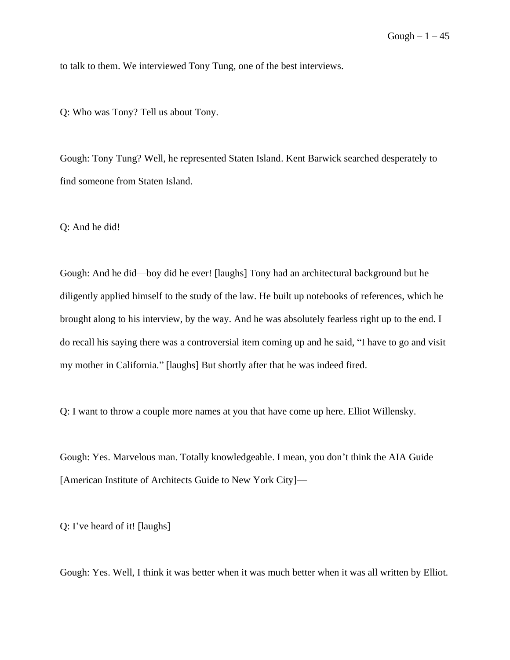to talk to them. We interviewed Tony Tung, one of the best interviews.

Q: Who was Tony? Tell us about Tony.

Gough: Tony Tung? Well, he represented Staten Island. Kent Barwick searched desperately to find someone from Staten Island.

Q: And he did!

Gough: And he did––boy did he ever! [laughs] Tony had an architectural background but he diligently applied himself to the study of the law. He built up notebooks of references, which he brought along to his interview, by the way. And he was absolutely fearless right up to the end. I do recall his saying there was a controversial item coming up and he said, "I have to go and visit my mother in California." [laughs] But shortly after that he was indeed fired.

Q: I want to throw a couple more names at you that have come up here. Elliot Willensky.

Gough: Yes. Marvelous man. Totally knowledgeable. I mean, you don't think the AIA Guide [American Institute of Architects Guide to New York City]––

Q: I've heard of it! [laughs]

Gough: Yes. Well, I think it was better when it was much better when it was all written by Elliot.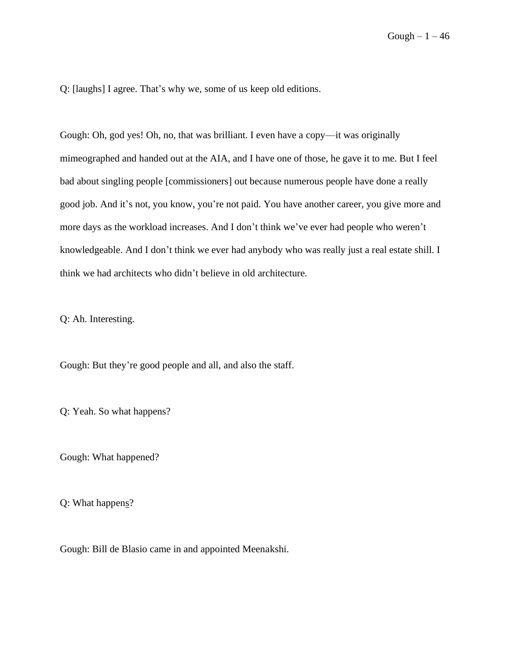Q: [laughs] I agree. That's why we, some of us keep old editions.

Gough: Oh, god yes! Oh, no, that was brilliant. I even have a copy—it was originally mimeographed and handed out at the AIA, and I have one of those, he gave it to me. But I feel bad about singling people [commissioners] out because numerous people have done a really good job. And it's not, you know, you're not paid. You have another career, you give more and more days as the workload increases. And I don't think we've ever had people who weren't knowledgeable. And I don't think we ever had anybody who was really just a real estate shill. I think we had architects who didn't believe in old architecture.

Q: Ah. Interesting.

Gough: But they're good people and all, and also the staff.

Q: Yeah. So what happens?

Gough: What happened?

Q: What happens?

Gough: Bill de Blasio came in and appointed Meenakshi.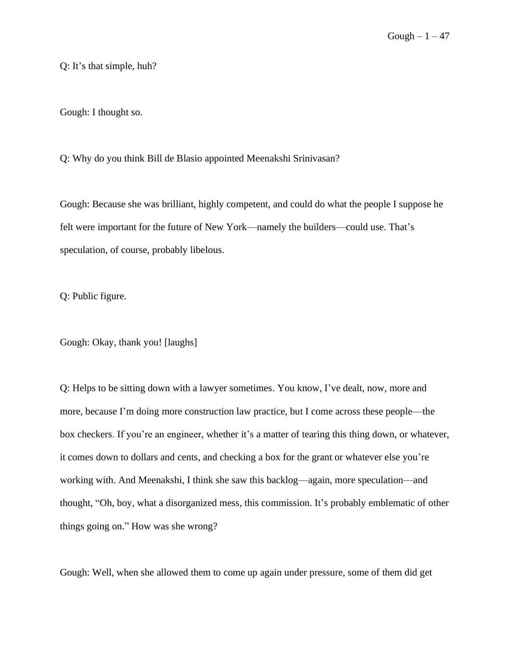Q: It's that simple, huh?

Gough: I thought so.

Q: Why do you think Bill de Blasio appointed Meenakshi Srinivasan?

Gough: Because she was brilliant, highly competent, and could do what the people I suppose he felt were important for the future of New York––namely the builders––could use. That's speculation, of course, probably libelous.

Q: Public figure.

Gough: Okay, thank you! [laughs]

Q: Helps to be sitting down with a lawyer sometimes. You know, I've dealt, now, more and more, because I'm doing more construction law practice, but I come across these people––the box checkers. If you're an engineer, whether it's a matter of tearing this thing down, or whatever, it comes down to dollars and cents, and checking a box for the grant or whatever else you're working with. And Meenakshi, I think she saw this backlog––again, more speculation––and thought, "Oh, boy, what a disorganized mess, this commission. It's probably emblematic of other things going on." How was she wrong?

Gough: Well, when she allowed them to come up again under pressure, some of them did get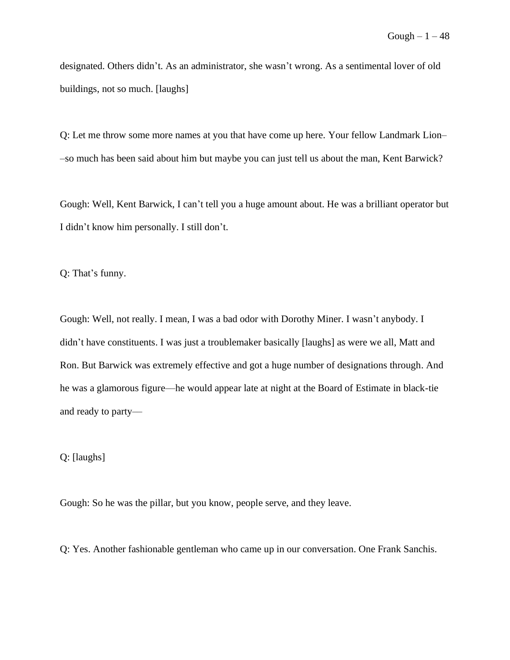designated. Others didn't. As an administrator, she wasn't wrong. As a sentimental lover of old buildings, not so much. [laughs]

Q: Let me throw some more names at you that have come up here. Your fellow Landmark Lion– –so much has been said about him but maybe you can just tell us about the man, Kent Barwick?

Gough: Well, Kent Barwick, I can't tell you a huge amount about. He was a brilliant operator but I didn't know him personally. I still don't.

Q: That's funny.

Gough: Well, not really. I mean, I was a bad odor with Dorothy Miner. I wasn't anybody. I didn't have constituents. I was just a troublemaker basically [laughs] as were we all, Matt and Ron. But Barwick was extremely effective and got a huge number of designations through. And he was a glamorous figure—he would appear late at night at the Board of Estimate in black-tie and ready to party––

Q: [laughs]

Gough: So he was the pillar, but you know, people serve, and they leave.

Q: Yes. Another fashionable gentleman who came up in our conversation. One Frank Sanchis.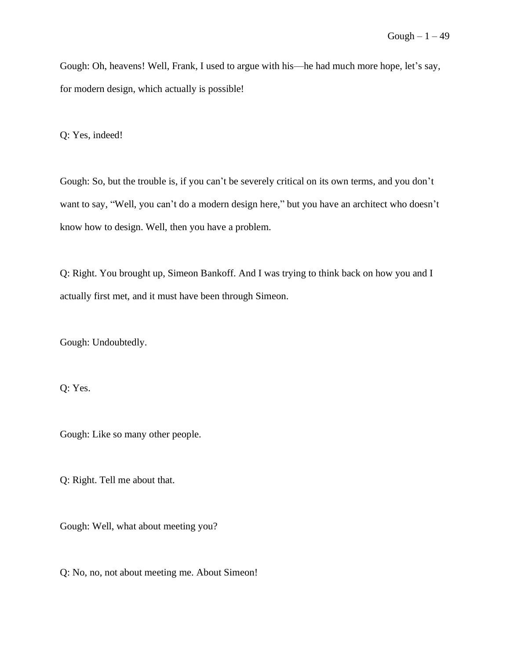Gough: Oh, heavens! Well, Frank, I used to argue with his––he had much more hope, let's say, for modern design, which actually is possible!

Q: Yes, indeed!

Gough: So, but the trouble is, if you can't be severely critical on its own terms, and you don't want to say, "Well, you can't do a modern design here," but you have an architect who doesn't know how to design. Well, then you have a problem.

Q: Right. You brought up, Simeon Bankoff. And I was trying to think back on how you and I actually first met, and it must have been through Simeon.

Gough: Undoubtedly.

Q: Yes.

Gough: Like so many other people.

Q: Right. Tell me about that.

Gough: Well, what about meeting you?

Q: No, no, not about meeting me. About Simeon!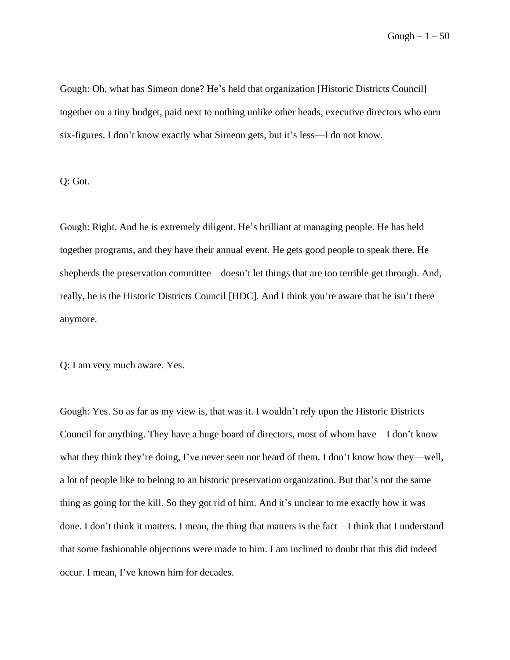Gough  $-1-50$ 

Gough: Oh, what has Simeon done? He's held that organization [Historic Districts Council] together on a tiny budget, paid next to nothing unlike other heads, executive directors who earn six-figures. I don't know exactly what Simeon gets, but it's less––I do not know.

Q: Got.

Gough: Right. And he is extremely diligent. He's brilliant at managing people. He has held together programs, and they have their annual event. He gets good people to speak there. He shepherds the preservation committee—doesn't let things that are too terrible get through. And, really, he is the Historic Districts Council [HDC]. And I think you're aware that he isn't there anymore.

Q: I am very much aware. Yes.

Gough: Yes. So as far as my view is, that was it. I wouldn't rely upon the Historic Districts Council for anything. They have a huge board of directors, most of whom have––I don't know what they think they're doing, I've never seen nor heard of them. I don't know how they—well, a lot of people like to belong to an historic preservation organization. But that's not the same thing as going for the kill. So they got rid of him. And it's unclear to me exactly how it was done. I don't think it matters. I mean, the thing that matters is the fact––I think that I understand that some fashionable objections were made to him. I am inclined to doubt that this did indeed occur. I mean, I've known him for decades.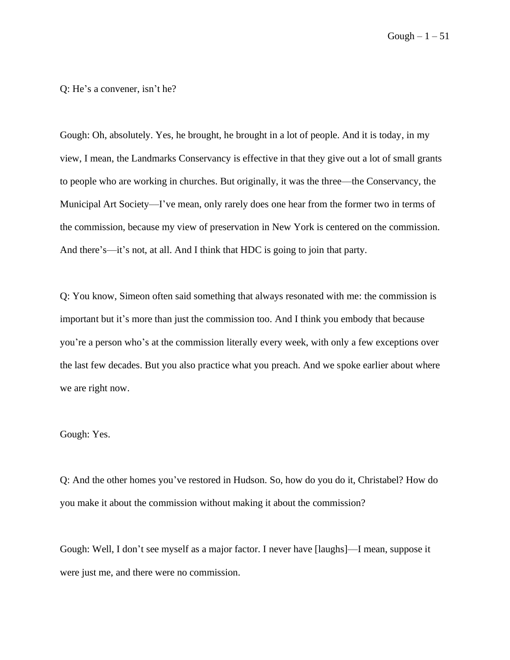Gough  $-1-51$ 

Q: He's a convener, isn't he?

Gough: Oh, absolutely. Yes, he brought, he brought in a lot of people. And it is today, in my view, I mean, the Landmarks Conservancy is effective in that they give out a lot of small grants to people who are working in churches. But originally, it was the three––the Conservancy, the Municipal Art Society––I've mean, only rarely does one hear from the former two in terms of the commission, because my view of preservation in New York is centered on the commission. And there's—it's not, at all. And I think that HDC is going to join that party.

Q: You know, Simeon often said something that always resonated with me: the commission is important but it's more than just the commission too. And I think you embody that because you're a person who's at the commission literally every week, with only a few exceptions over the last few decades. But you also practice what you preach. And we spoke earlier about where we are right now.

## Gough: Yes.

Q: And the other homes you've restored in Hudson. So, how do you do it, Christabel? How do you make it about the commission without making it about the commission?

Gough: Well, I don't see myself as a major factor. I never have [laughs]––I mean, suppose it were just me, and there were no commission.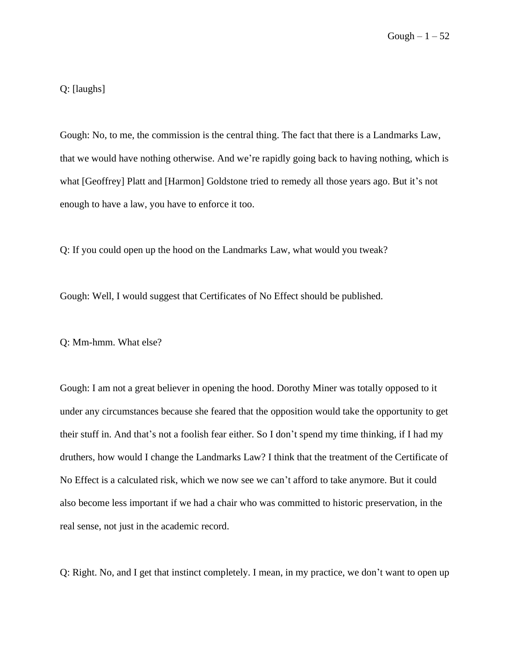Q: [laughs]

Gough: No, to me, the commission is the central thing. The fact that there is a Landmarks Law, that we would have nothing otherwise. And we're rapidly going back to having nothing, which is what [Geoffrey] Platt and [Harmon] Goldstone tried to remedy all those years ago. But it's not enough to have a law, you have to enforce it too.

Q: If you could open up the hood on the Landmarks Law, what would you tweak?

Gough: Well, I would suggest that Certificates of No Effect should be published.

Q: Mm-hmm. What else?

Gough: I am not a great believer in opening the hood. Dorothy Miner was totally opposed to it under any circumstances because she feared that the opposition would take the opportunity to get their stuff in. And that's not a foolish fear either. So I don't spend my time thinking, if I had my druthers, how would I change the Landmarks Law? I think that the treatment of the Certificate of No Effect is a calculated risk, which we now see we can't afford to take anymore. But it could also become less important if we had a chair who was committed to historic preservation, in the real sense, not just in the academic record.

Q: Right. No, and I get that instinct completely. I mean, in my practice, we don't want to open up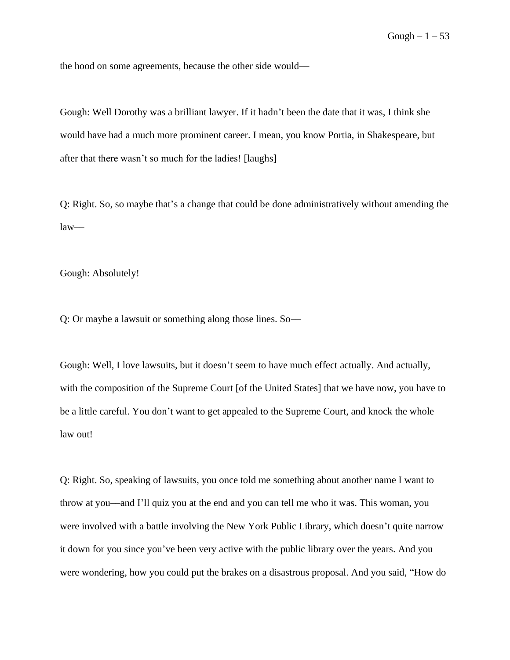the hood on some agreements, because the other side would––

Gough: Well Dorothy was a brilliant lawyer. If it hadn't been the date that it was, I think she would have had a much more prominent career. I mean, you know Portia, in Shakespeare, but after that there wasn't so much for the ladies! [laughs]

Q: Right. So, so maybe that's a change that could be done administratively without amending the  $law$ —

Gough: Absolutely!

Q: Or maybe a lawsuit or something along those lines. So—

Gough: Well, I love lawsuits, but it doesn't seem to have much effect actually. And actually, with the composition of the Supreme Court [of the United States] that we have now, you have to be a little careful. You don't want to get appealed to the Supreme Court, and knock the whole law out!

Q: Right. So, speaking of lawsuits, you once told me something about another name I want to throw at you––and I'll quiz you at the end and you can tell me who it was. This woman, you were involved with a battle involving the New York Public Library, which doesn't quite narrow it down for you since you've been very active with the public library over the years. And you were wondering, how you could put the brakes on a disastrous proposal. And you said, "How do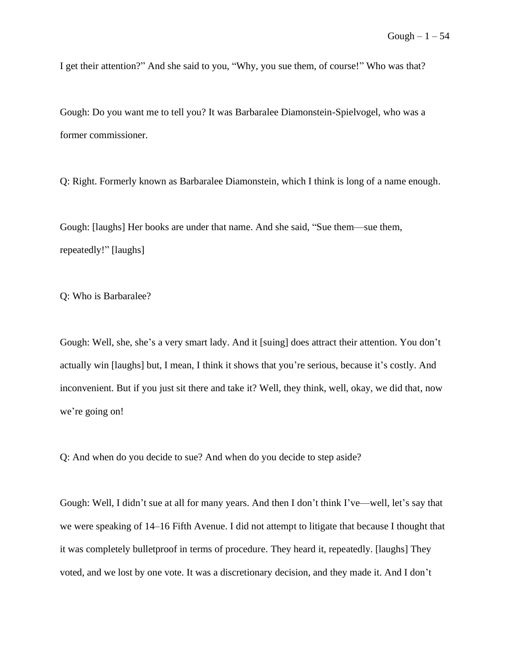I get their attention?" And she said to you, "Why, you sue them, of course!" Who was that?

Gough: Do you want me to tell you? It was Barbaralee Diamonstein-Spielvogel, who was a former commissioner.

Q: Right. Formerly known as Barbaralee Diamonstein, which I think is long of a name enough.

Gough: [laughs] Her books are under that name. And she said, "Sue them––sue them, repeatedly!" [laughs]

Q: Who is Barbaralee?

Gough: Well, she, she's a very smart lady. And it [suing] does attract their attention. You don't actually win [laughs] but, I mean, I think it shows that you're serious, because it's costly. And inconvenient. But if you just sit there and take it? Well, they think, well, okay, we did that, now we're going on!

Q: And when do you decide to sue? And when do you decide to step aside?

Gough: Well, I didn't sue at all for many years. And then I don't think I've––well, let's say that we were speaking of 14–16 Fifth Avenue. I did not attempt to litigate that because I thought that it was completely bulletproof in terms of procedure. They heard it, repeatedly. [laughs] They voted, and we lost by one vote. It was a discretionary decision, and they made it. And I don't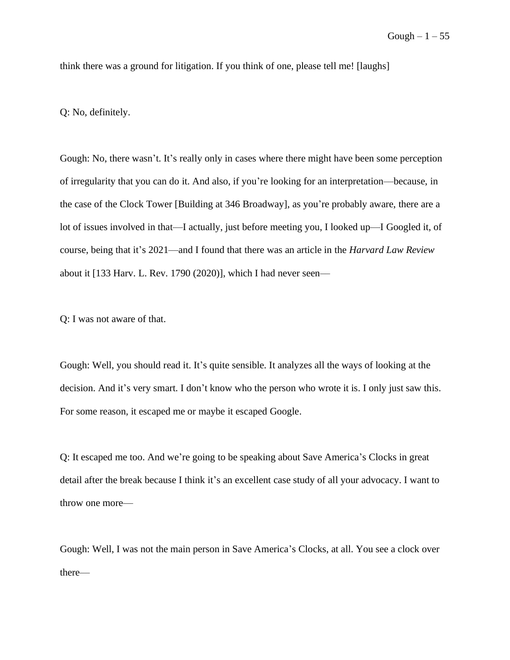think there was a ground for litigation. If you think of one, please tell me! [laughs]

Q: No, definitely.

Gough: No, there wasn't. It's really only in cases where there might have been some perception of irregularity that you can do it. And also, if you're looking for an interpretation––because, in the case of the Clock Tower [Building at 346 Broadway], as you're probably aware, there are a lot of issues involved in that––I actually, just before meeting you, I looked up––I Googled it, of course, being that it's 2021––and I found that there was an article in the *Harvard Law Review* about it [133 Harv. L. Rev. 1790 (2020)], which I had never seen––

Q: I was not aware of that.

Gough: Well, you should read it. It's quite sensible. It analyzes all the ways of looking at the decision. And it's very smart. I don't know who the person who wrote it is. I only just saw this. For some reason, it escaped me or maybe it escaped Google.

Q: It escaped me too. And we're going to be speaking about Save America's Clocks in great detail after the break because I think it's an excellent case study of all your advocacy. I want to throw one more––

Gough: Well, I was not the main person in Save America's Clocks, at all. You see a clock over there––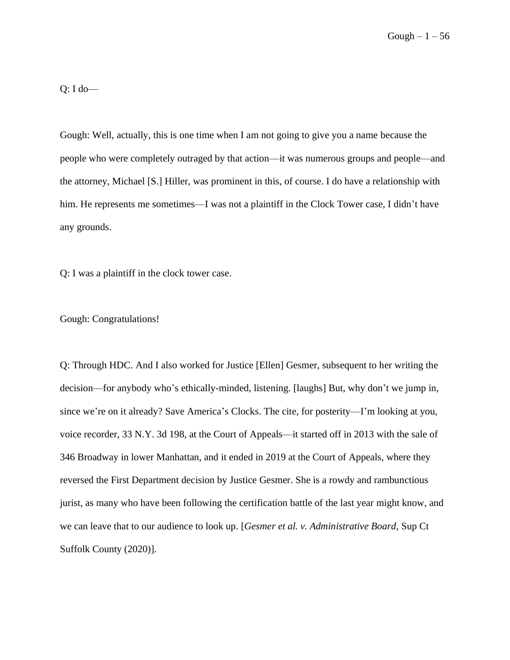$Q: I$  do—

Gough: Well, actually, this is one time when I am not going to give you a name because the people who were completely outraged by that action––it was numerous groups and people––and the attorney, Michael [S.] Hiller, was prominent in this, of course. I do have a relationship with him. He represents me sometimes—I was not a plaintiff in the Clock Tower case, I didn't have any grounds.

Q: I was a plaintiff in the clock tower case.

Gough: Congratulations!

Q: Through HDC. And I also worked for Justice [Ellen] Gesmer, subsequent to her writing the decision––for anybody who's ethically-minded, listening. [laughs] But, why don't we jump in, since we're on it already? Save America's Clocks. The cite, for posterity—I'm looking at you, voice recorder, 33 N.Y. 3d 198, at the Court of Appeals––it started off in 2013 with the sale of 346 Broadway in lower Manhattan, and it ended in 2019 at the Court of Appeals, where they reversed the First Department decision by Justice Gesmer. She is a rowdy and rambunctious jurist, as many who have been following the certification battle of the last year might know, and we can leave that to our audience to look up. [*Gesmer et al. v. Administrative Board*, Sup Ct Suffolk County (2020)].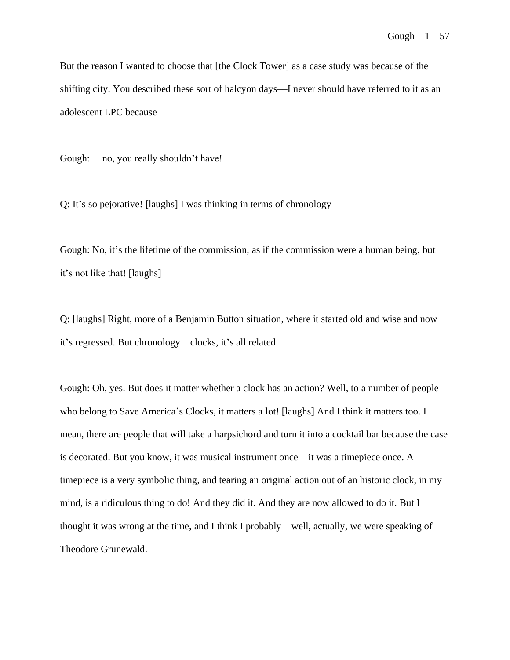But the reason I wanted to choose that [the Clock Tower] as a case study was because of the shifting city. You described these sort of halcyon days––I never should have referred to it as an adolescent LPC because––

Gough: ––no, you really shouldn't have!

Q: It's so pejorative! [laughs] I was thinking in terms of chronology––

Gough: No, it's the lifetime of the commission, as if the commission were a human being, but it's not like that! [laughs]

Q: [laughs] Right, more of a Benjamin Button situation, where it started old and wise and now it's regressed. But chronology––clocks, it's all related.

Gough: Oh, yes. But does it matter whether a clock has an action? Well, to a number of people who belong to Save America's Clocks, it matters a lot! [laughs] And I think it matters too. I mean, there are people that will take a harpsichord and turn it into a cocktail bar because the case is decorated. But you know, it was musical instrument once––it was a timepiece once. A timepiece is a very symbolic thing, and tearing an original action out of an historic clock, in my mind, is a ridiculous thing to do! And they did it. And they are now allowed to do it. But I thought it was wrong at the time, and I think I probably––well, actually, we were speaking of Theodore Grunewald.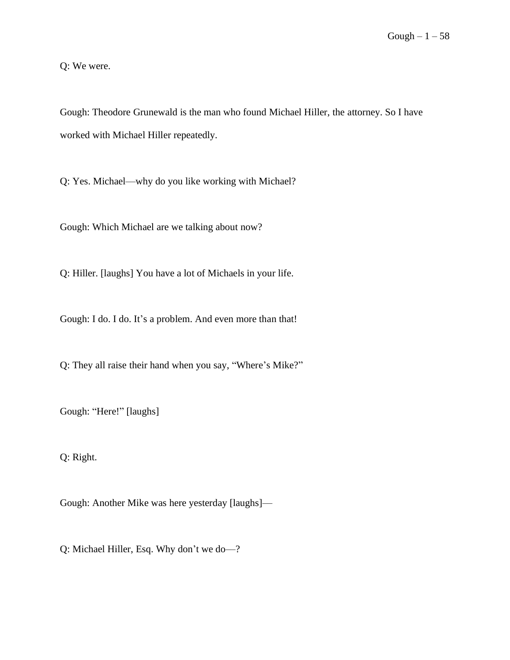Q: We were.

Gough: Theodore Grunewald is the man who found Michael Hiller, the attorney. So I have worked with Michael Hiller repeatedly.

Q: Yes. Michael––why do you like working with Michael?

Gough: Which Michael are we talking about now?

Q: Hiller. [laughs] You have a lot of Michaels in your life.

Gough: I do. I do. It's a problem. And even more than that!

Q: They all raise their hand when you say, "Where's Mike?"

Gough: "Here!" [laughs]

Q: Right.

Gough: Another Mike was here yesterday [laughs]––

Q: Michael Hiller, Esq. Why don't we do-?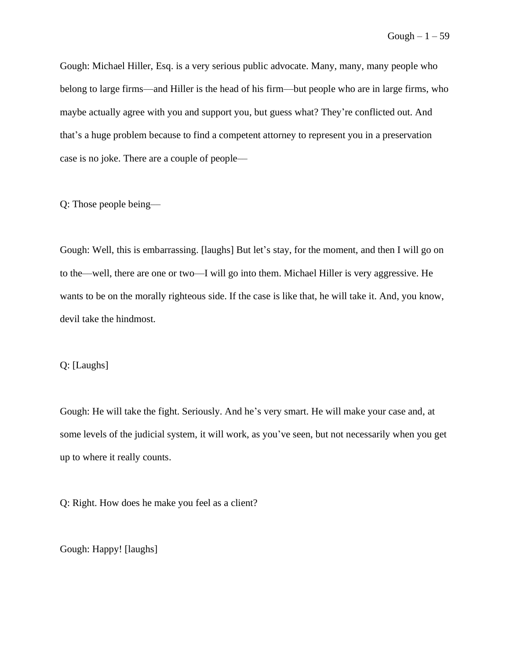Gough: Michael Hiller, Esq. is a very serious public advocate. Many, many, many people who belong to large firms––and Hiller is the head of his firm––but people who are in large firms, who maybe actually agree with you and support you, but guess what? They're conflicted out. And that's a huge problem because to find a competent attorney to represent you in a preservation case is no joke. There are a couple of people––

Q: Those people being––

Gough: Well, this is embarrassing. [laughs] But let's stay, for the moment, and then I will go on to the––well, there are one or two––I will go into them. Michael Hiller is very aggressive. He wants to be on the morally righteous side. If the case is like that, he will take it. And, you know, devil take the hindmost.

## Q: [Laughs]

Gough: He will take the fight. Seriously. And he's very smart. He will make your case and, at some levels of the judicial system, it will work, as you've seen, but not necessarily when you get up to where it really counts.

Q: Right. How does he make you feel as a client?

Gough: Happy! [laughs]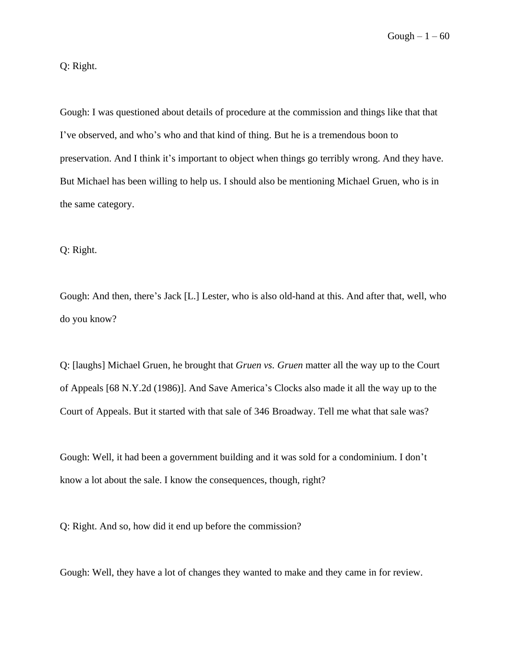$Gough - 1 - 60$ 

## Q: Right.

Gough: I was questioned about details of procedure at the commission and things like that that I've observed, and who's who and that kind of thing. But he is a tremendous boon to preservation. And I think it's important to object when things go terribly wrong. And they have. But Michael has been willing to help us. I should also be mentioning Michael Gruen, who is in the same category.

Q: Right.

Gough: And then, there's Jack [L.] Lester, who is also old-hand at this. And after that, well, who do you know?

Q: [laughs] Michael Gruen, he brought that *Gruen vs. Gruen* matter all the way up to the Court of Appeals [68 N.Y.2d (1986)]. And Save America's Clocks also made it all the way up to the Court of Appeals. But it started with that sale of 346 Broadway. Tell me what that sale was?

Gough: Well, it had been a government building and it was sold for a condominium. I don't know a lot about the sale. I know the consequences, though, right?

Q: Right. And so, how did it end up before the commission?

Gough: Well, they have a lot of changes they wanted to make and they came in for review.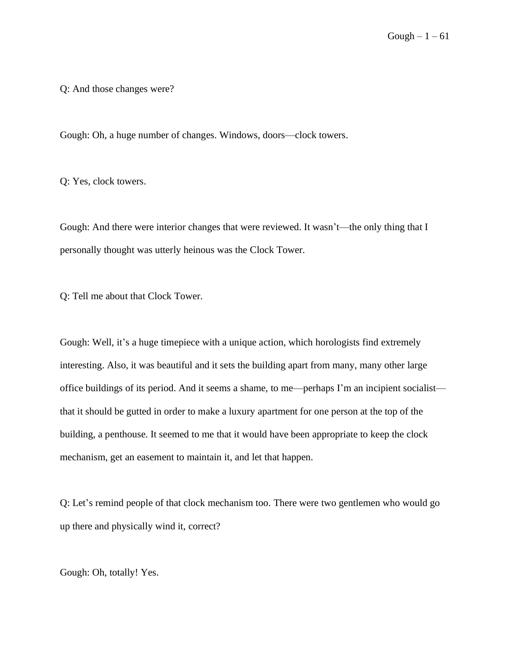Q: And those changes were?

Gough: Oh, a huge number of changes. Windows, doors––clock towers.

Q: Yes, clock towers.

Gough: And there were interior changes that were reviewed. It wasn't––the only thing that I personally thought was utterly heinous was the Clock Tower.

Q: Tell me about that Clock Tower.

Gough: Well, it's a huge timepiece with a unique action, which horologists find extremely interesting. Also, it was beautiful and it sets the building apart from many, many other large office buildings of its period. And it seems a shame, to me––perhaps I'm an incipient socialist–– that it should be gutted in order to make a luxury apartment for one person at the top of the building, a penthouse. It seemed to me that it would have been appropriate to keep the clock mechanism, get an easement to maintain it, and let that happen.

Q: Let's remind people of that clock mechanism too. There were two gentlemen who would go up there and physically wind it, correct?

Gough: Oh, totally! Yes.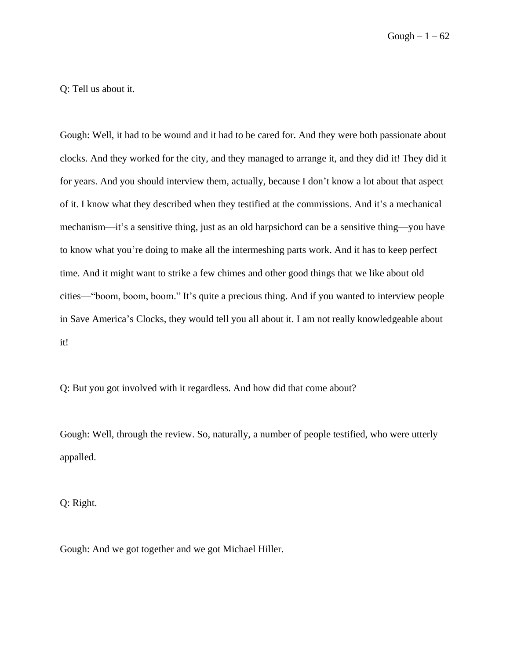Gough  $-1 - 62$ 

Q: Tell us about it.

Gough: Well, it had to be wound and it had to be cared for. And they were both passionate about clocks. And they worked for the city, and they managed to arrange it, and they did it! They did it for years. And you should interview them, actually, because I don't know a lot about that aspect of it. I know what they described when they testified at the commissions. And it's a mechanical mechanism––it's a sensitive thing, just as an old harpsichord can be a sensitive thing––you have to know what you're doing to make all the intermeshing parts work. And it has to keep perfect time. And it might want to strike a few chimes and other good things that we like about old cities––"boom, boom, boom." It's quite a precious thing. And if you wanted to interview people in Save America's Clocks, they would tell you all about it. I am not really knowledgeable about it!

Q: But you got involved with it regardless. And how did that come about?

Gough: Well, through the review. So, naturally, a number of people testified, who were utterly appalled.

Q: Right.

Gough: And we got together and we got Michael Hiller.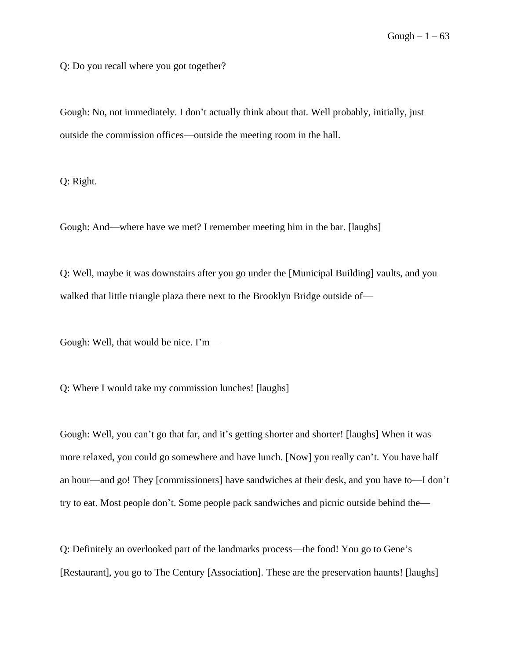Q: Do you recall where you got together?

Gough: No, not immediately. I don't actually think about that. Well probably, initially, just outside the commission offices—outside the meeting room in the hall.

Q: Right.

Gough: And—where have we met? I remember meeting him in the bar. [laughs]

Q: Well, maybe it was downstairs after you go under the [Municipal Building] vaults, and you walked that little triangle plaza there next to the Brooklyn Bridge outside of—

Gough: Well, that would be nice. I'm-

Q: Where I would take my commission lunches! [laughs]

Gough: Well, you can't go that far, and it's getting shorter and shorter! [laughs] When it was more relaxed, you could go somewhere and have lunch. [Now] you really can't. You have half an hour––and go! They [commissioners] have sandwiches at their desk, and you have to––I don't try to eat. Most people don't. Some people pack sandwiches and picnic outside behind the––

Q: Definitely an overlooked part of the landmarks process––the food! You go to Gene's [Restaurant], you go to The Century [Association]. These are the preservation haunts! [laughs]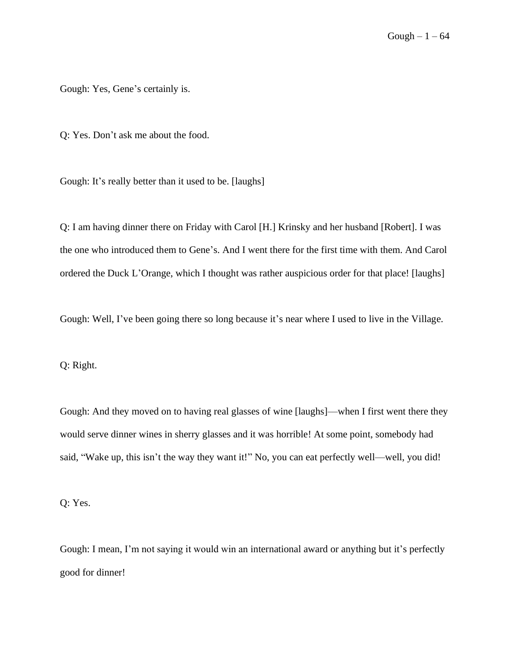Gough: Yes, Gene's certainly is.

Q: Yes. Don't ask me about the food.

Gough: It's really better than it used to be. [laughs]

Q: I am having dinner there on Friday with Carol [H.] Krinsky and her husband [Robert]. I was the one who introduced them to Gene's. And I went there for the first time with them. And Carol ordered the Duck L'Orange, which I thought was rather auspicious order for that place! [laughs]

Gough: Well, I've been going there so long because it's near where I used to live in the Village.

Q: Right.

Gough: And they moved on to having real glasses of wine [laughs]––when I first went there they would serve dinner wines in sherry glasses and it was horrible! At some point, somebody had said, "Wake up, this isn't the way they want it!" No, you can eat perfectly well—well, you did!

Q: Yes.

Gough: I mean, I'm not saying it would win an international award or anything but it's perfectly good for dinner!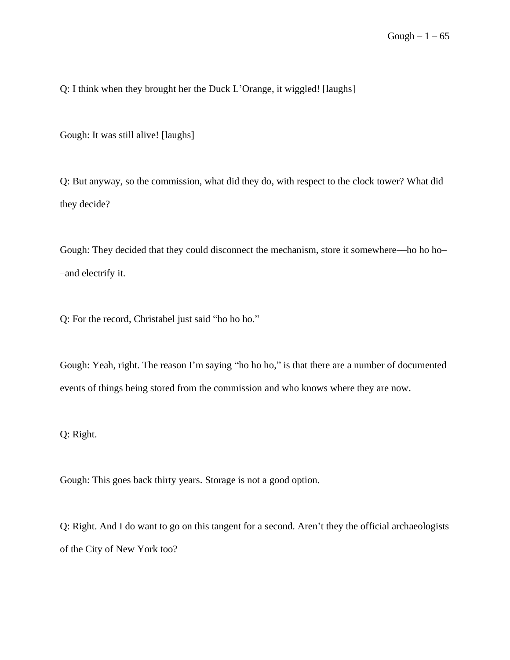Q: I think when they brought her the Duck L'Orange, it wiggled! [laughs]

Gough: It was still alive! [laughs]

Q: But anyway, so the commission, what did they do, with respect to the clock tower? What did they decide?

Gough: They decided that they could disconnect the mechanism, store it somewhere––ho ho ho– –and electrify it.

Q: For the record, Christabel just said "ho ho ho."

Gough: Yeah, right. The reason I'm saying "ho ho ho," is that there are a number of documented events of things being stored from the commission and who knows where they are now.

Q: Right.

Gough: This goes back thirty years. Storage is not a good option.

Q: Right. And I do want to go on this tangent for a second. Aren't they the official archaeologists of the City of New York too?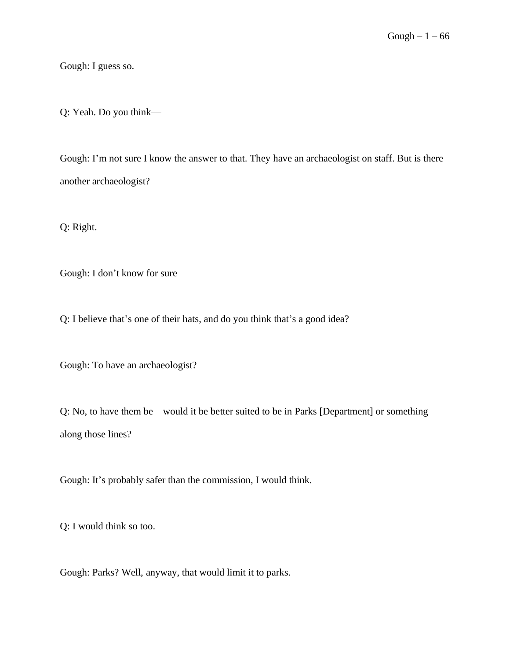Gough: I guess so.

Q: Yeah. Do you think––

Gough: I'm not sure I know the answer to that. They have an archaeologist on staff. But is there another archaeologist?

Q: Right.

Gough: I don't know for sure

Q: I believe that's one of their hats, and do you think that's a good idea?

Gough: To have an archaeologist?

Q: No, to have them be––would it be better suited to be in Parks [Department] or something along those lines?

Gough: It's probably safer than the commission, I would think.

Q: I would think so too.

Gough: Parks? Well, anyway, that would limit it to parks.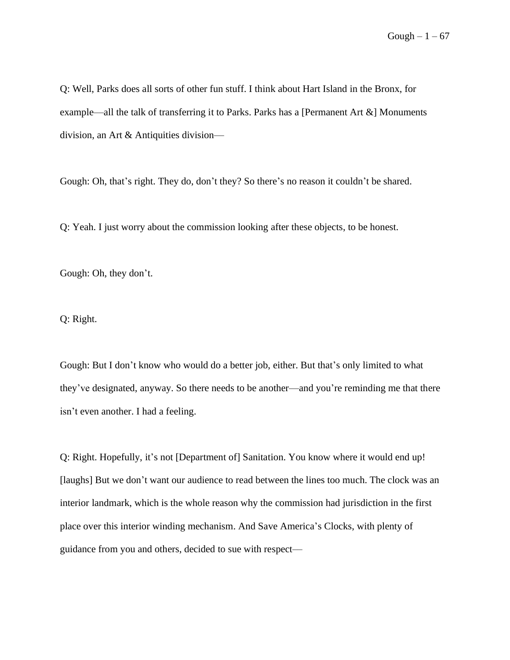Q: Well, Parks does all sorts of other fun stuff. I think about Hart Island in the Bronx, for example––all the talk of transferring it to Parks. Parks has a [Permanent Art &] Monuments division, an Art & Antiquities division––

Gough: Oh, that's right. They do, don't they? So there's no reason it couldn't be shared.

Q: Yeah. I just worry about the commission looking after these objects, to be honest.

Gough: Oh, they don't.

Q: Right.

Gough: But I don't know who would do a better job, either. But that's only limited to what they've designated, anyway. So there needs to be another––and you're reminding me that there isn't even another. I had a feeling.

Q: Right. Hopefully, it's not [Department of] Sanitation. You know where it would end up! [laughs] But we don't want our audience to read between the lines too much. The clock was an interior landmark, which is the whole reason why the commission had jurisdiction in the first place over this interior winding mechanism. And Save America's Clocks, with plenty of guidance from you and others, decided to sue with respect––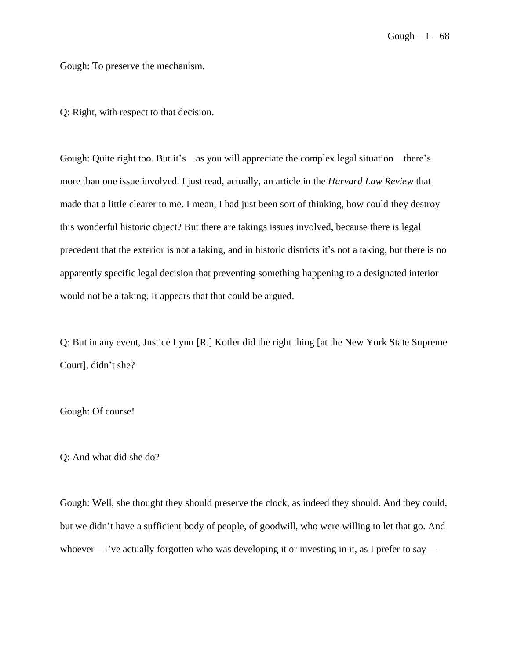Gough: To preserve the mechanism.

Q: Right, with respect to that decision.

Gough: Quite right too. But it's––as you will appreciate the complex legal situation––there's more than one issue involved. I just read, actually, an article in the *Harvard Law Review* that made that a little clearer to me. I mean, I had just been sort of thinking, how could they destroy this wonderful historic object? But there are takings issues involved, because there is legal precedent that the exterior is not a taking, and in historic districts it's not a taking, but there is no apparently specific legal decision that preventing something happening to a designated interior would not be a taking. It appears that that could be argued.

Q: But in any event, Justice Lynn [R.] Kotler did the right thing [at the New York State Supreme Court], didn't she?

Gough: Of course!

Q: And what did she do?

Gough: Well, she thought they should preserve the clock, as indeed they should. And they could, but we didn't have a sufficient body of people, of goodwill, who were willing to let that go. And whoever—I've actually forgotten who was developing it or investing in it, as I prefer to say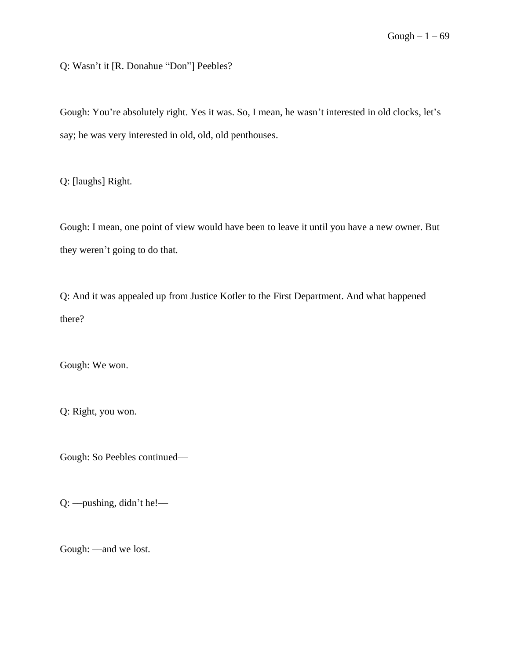Q: Wasn't it [R. Donahue "Don"] Peebles?

Gough: You're absolutely right. Yes it was. So, I mean, he wasn't interested in old clocks, let's say; he was very interested in old, old, old penthouses.

Q: [laughs] Right.

Gough: I mean, one point of view would have been to leave it until you have a new owner. But they weren't going to do that.

Q: And it was appealed up from Justice Kotler to the First Department. And what happened there?

Gough: We won.

Q: Right, you won.

Gough: So Peebles continued––

Q: ––pushing, didn't he!––

Gough: —and we lost.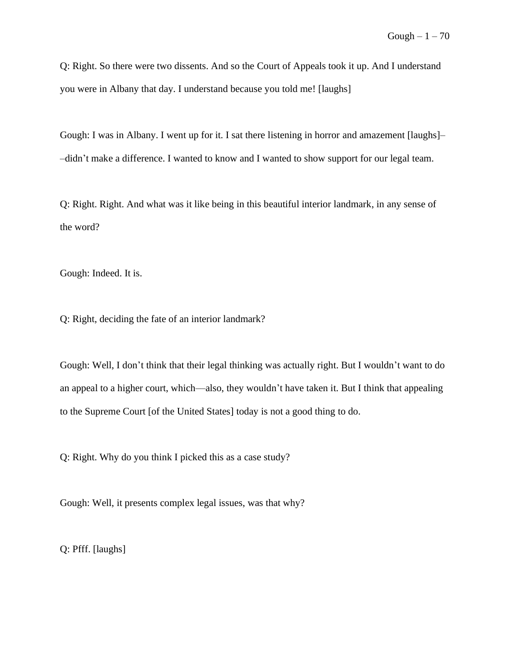Q: Right. So there were two dissents. And so the Court of Appeals took it up. And I understand you were in Albany that day. I understand because you told me! [laughs]

Gough: I was in Albany. I went up for it. I sat there listening in horror and amazement [laughs]– –didn't make a difference. I wanted to know and I wanted to show support for our legal team.

Q: Right. Right. And what was it like being in this beautiful interior landmark, in any sense of the word?

Gough: Indeed. It is.

Q: Right, deciding the fate of an interior landmark?

Gough: Well, I don't think that their legal thinking was actually right. But I wouldn't want to do an appeal to a higher court, which––also, they wouldn't have taken it. But I think that appealing to the Supreme Court [of the United States] today is not a good thing to do.

Q: Right. Why do you think I picked this as a case study?

Gough: Well, it presents complex legal issues, was that why?

Q: Pfff. [laughs]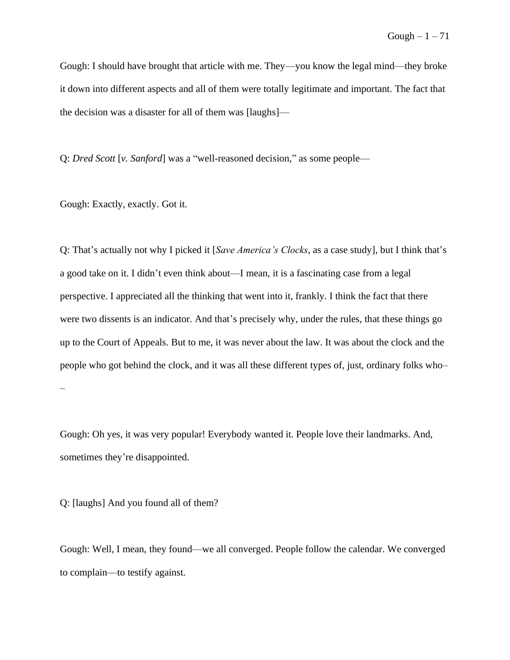Gough: I should have brought that article with me. They––you know the legal mind––they broke it down into different aspects and all of them were totally legitimate and important. The fact that the decision was a disaster for all of them was [laughs]––

Q: *Dred Scott* [*v. Sanford*] was a "well-reasoned decision," as some people––

Gough: Exactly, exactly. Got it.

Q: That's actually not why I picked it [*Save America's Clocks*, as a case study], but I think that's a good take on it. I didn't even think about––I mean, it is a fascinating case from a legal perspective. I appreciated all the thinking that went into it, frankly. I think the fact that there were two dissents is an indicator. And that's precisely why, under the rules, that these things go up to the Court of Appeals. But to me, it was never about the law. It was about the clock and the people who got behind the clock, and it was all these different types of, just, ordinary folks who– –

Gough: Oh yes, it was very popular! Everybody wanted it. People love their landmarks. And, sometimes they're disappointed.

Q: [laughs] And you found all of them?

Gough: Well, I mean, they found––we all converged. People follow the calendar. We converged to complain––to testify against.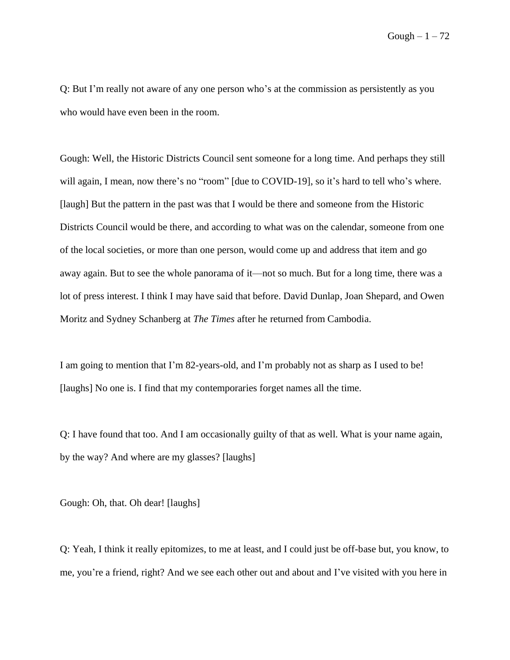Q: But I'm really not aware of any one person who's at the commission as persistently as you who would have even been in the room.

Gough: Well, the Historic Districts Council sent someone for a long time. And perhaps they still will again, I mean, now there's no "room" [due to COVID-19], so it's hard to tell who's where. [laugh] But the pattern in the past was that I would be there and someone from the Historic Districts Council would be there, and according to what was on the calendar, someone from one of the local societies, or more than one person, would come up and address that item and go away again. But to see the whole panorama of it––not so much. But for a long time, there was a lot of press interest. I think I may have said that before. David Dunlap, Joan Shepard, and Owen Moritz and Sydney Schanberg at *The Times* after he returned from Cambodia.

I am going to mention that I'm 82-years-old, and I'm probably not as sharp as I used to be! [laughs] No one is. I find that my contemporaries forget names all the time.

Q: I have found that too. And I am occasionally guilty of that as well. What is your name again, by the way? And where are my glasses? [laughs]

Gough: Oh, that. Oh dear! [laughs]

Q: Yeah, I think it really epitomizes, to me at least, and I could just be off-base but, you know, to me, you're a friend, right? And we see each other out and about and I've visited with you here in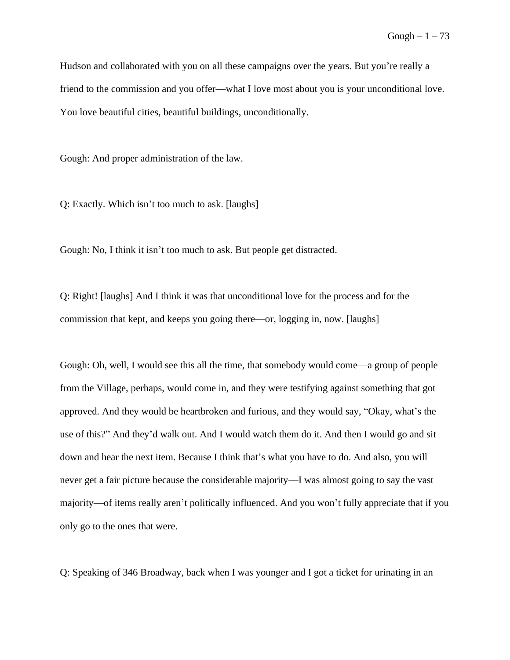Hudson and collaborated with you on all these campaigns over the years. But you're really a friend to the commission and you offer––what I love most about you is your unconditional love. You love beautiful cities, beautiful buildings, unconditionally.

Gough: And proper administration of the law.

Q: Exactly. Which isn't too much to ask. [laughs]

Gough: No, I think it isn't too much to ask. But people get distracted.

Q: Right! [laughs] And I think it was that unconditional love for the process and for the commission that kept, and keeps you going there––or, logging in, now. [laughs]

Gough: Oh, well, I would see this all the time, that somebody would come––a group of people from the Village, perhaps, would come in, and they were testifying against something that got approved. And they would be heartbroken and furious, and they would say, "Okay, what's the use of this?" And they'd walk out. And I would watch them do it. And then I would go and sit down and hear the next item. Because I think that's what you have to do. And also, you will never get a fair picture because the considerable majority––I was almost going to say the vast majority––of items really aren't politically influenced. And you won't fully appreciate that if you only go to the ones that were.

Q: Speaking of 346 Broadway, back when I was younger and I got a ticket for urinating in an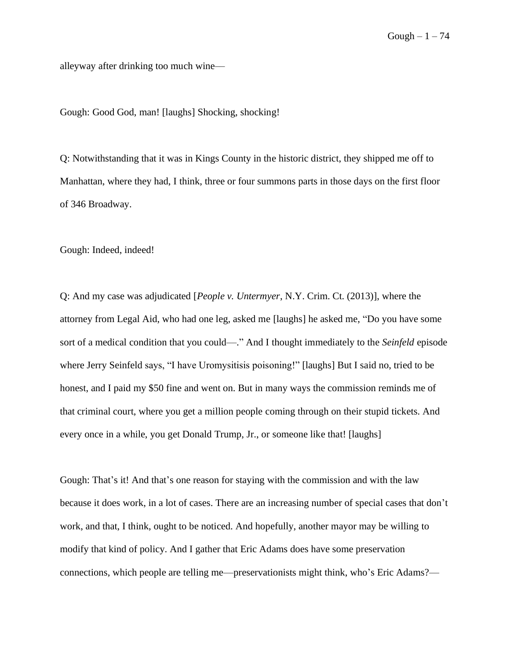alleyway after drinking too much wine––

Gough: Good God, man! [laughs] Shocking, shocking!

Q: Notwithstanding that it was in Kings County in the historic district, they shipped me off to Manhattan, where they had, I think, three or four summons parts in those days on the first floor of 346 Broadway.

Gough: Indeed, indeed!

Q: And my case was adjudicated [*People v. Untermyer*, N.Y. Crim. Ct. (2013)], where the attorney from Legal Aid, who had one leg, asked me [laughs] he asked me, "Do you have some sort of a medical condition that you could––." And I thought immediately to the *Seinfeld* episode where Jerry Seinfeld says, "I have Uromysitisis poisoning!" [laughs] But I said no, tried to be honest, and I paid my \$50 fine and went on. But in many ways the commission reminds me of that criminal court, where you get a million people coming through on their stupid tickets. And every once in a while, you get Donald Trump, Jr., or someone like that! [laughs]

Gough: That's it! And that's one reason for staying with the commission and with the law because it does work, in a lot of cases. There are an increasing number of special cases that don't work, and that, I think, ought to be noticed. And hopefully, another mayor may be willing to modify that kind of policy. And I gather that Eric Adams does have some preservation connections, which people are telling me—preservationists might think, who's Eric Adams?—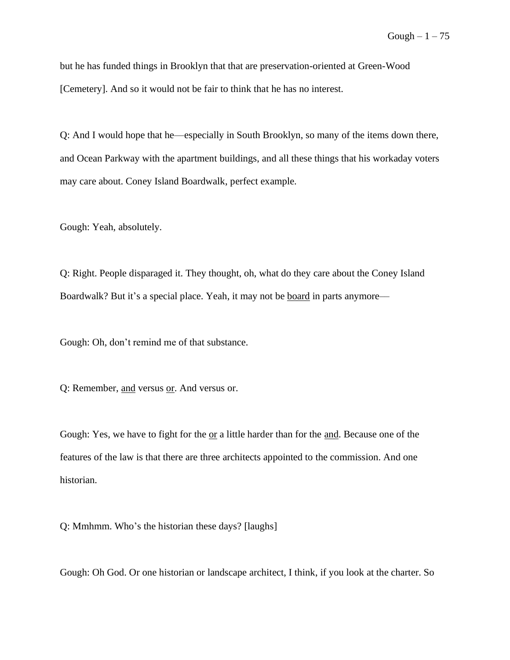but he has funded things in Brooklyn that that are preservation-oriented at Green-Wood [Cemetery]. And so it would not be fair to think that he has no interest.

Q: And I would hope that he––especially in South Brooklyn, so many of the items down there, and Ocean Parkway with the apartment buildings, and all these things that his workaday voters may care about. Coney Island Boardwalk, perfect example.

Gough: Yeah, absolutely.

Q: Right. People disparaged it. They thought, oh, what do they care about the Coney Island Boardwalk? But it's a special place. Yeah, it may not be <u>board</u> in parts anymore—

Gough: Oh, don't remind me of that substance.

Q: Remember, and versus or. And versus or.

Gough: Yes, we have to fight for the  $or a little harder than for the and. Because one of the$ </u> features of the law is that there are three architects appointed to the commission. And one historian.

Q: Mmhmm. Who's the historian these days? [laughs]

Gough: Oh God. Or one historian or landscape architect, I think, if you look at the charter. So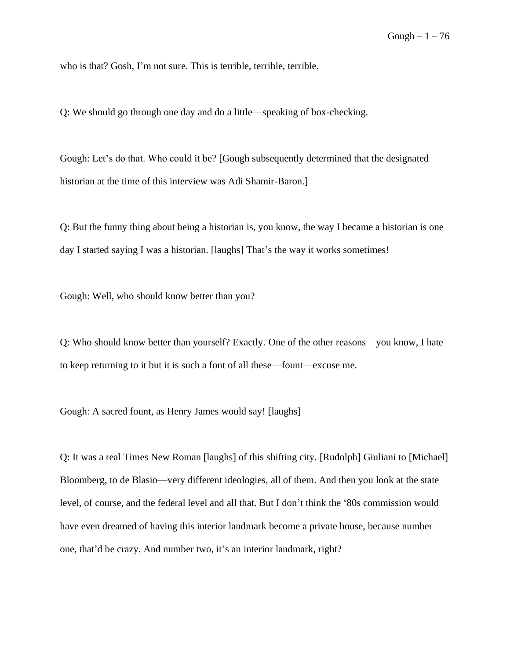who is that? Gosh, I'm not sure. This is terrible, terrible, terrible.

Q: We should go through one day and do a little––speaking of box-checking.

Gough: Let's do that. Who could it be? [Gough subsequently determined that the designated historian at the time of this interview was Adi Shamir-Baron.]

Q: But the funny thing about being a historian is, you know, the way I became a historian is one day I started saying I was a historian. [laughs] That's the way it works sometimes!

Gough: Well, who should know better than you?

Q: Who should know better than yourself? Exactly. One of the other reasons––you know, I hate to keep returning to it but it is such a font of all these––fount––excuse me.

Gough: A sacred fount, as Henry James would say! [laughs]

Q: It was a real Times New Roman [laughs] of this shifting city. [Rudolph] Giuliani to [Michael] Bloomberg, to de Blasio––very different ideologies, all of them. And then you look at the state level, of course, and the federal level and all that. But I don't think the '80s commission would have even dreamed of having this interior landmark become a private house, because number one, that'd be crazy. And number two, it's an interior landmark, right?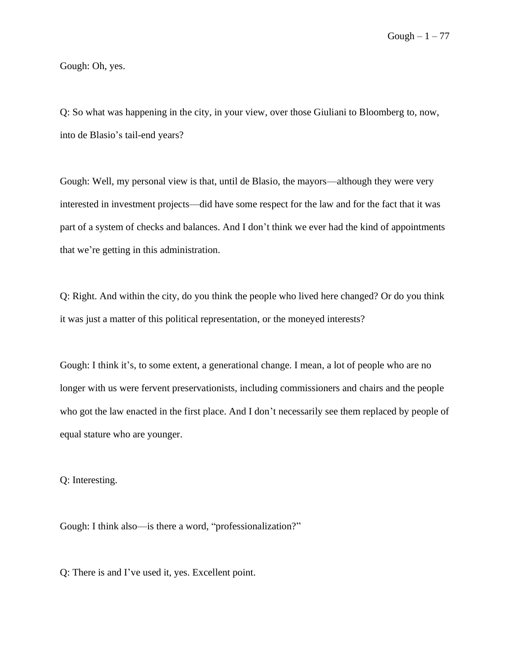Gough: Oh, yes.

Q: So what was happening in the city, in your view, over those Giuliani to Bloomberg to, now, into de Blasio's tail-end years?

Gough: Well, my personal view is that, until de Blasio, the mayors––although they were very interested in investment projects––did have some respect for the law and for the fact that it was part of a system of checks and balances. And I don't think we ever had the kind of appointments that we're getting in this administration.

Q: Right. And within the city, do you think the people who lived here changed? Or do you think it was just a matter of this political representation, or the moneyed interests?

Gough: I think it's, to some extent, a generational change. I mean, a lot of people who are no longer with us were fervent preservationists, including commissioners and chairs and the people who got the law enacted in the first place. And I don't necessarily see them replaced by people of equal stature who are younger.

Q: Interesting.

Gough: I think also—is there a word, "professionalization?"

Q: There is and I've used it, yes. Excellent point.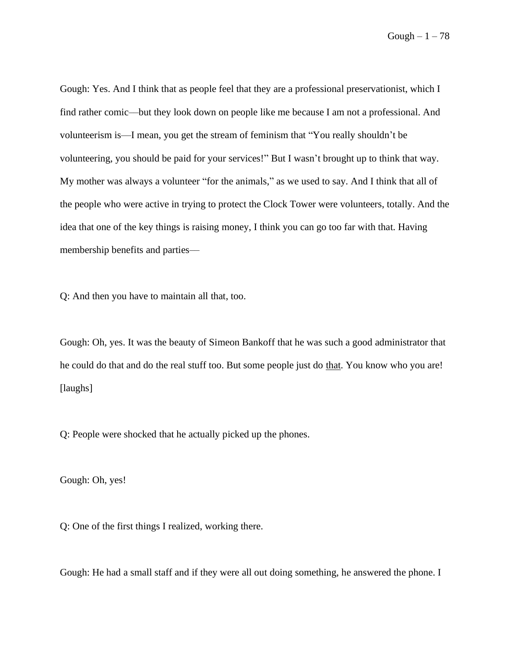Gough  $-1-78$ 

Gough: Yes. And I think that as people feel that they are a professional preservationist, which I find rather comic––but they look down on people like me because I am not a professional. And volunteerism is––I mean, you get the stream of feminism that "You really shouldn't be volunteering, you should be paid for your services!" But I wasn't brought up to think that way. My mother was always a volunteer "for the animals," as we used to say. And I think that all of the people who were active in trying to protect the Clock Tower were volunteers, totally. And the idea that one of the key things is raising money, I think you can go too far with that. Having membership benefits and parties––

Q: And then you have to maintain all that, too.

Gough: Oh, yes. It was the beauty of Simeon Bankoff that he was such a good administrator that he could do that and do the real stuff too. But some people just do that. You know who you are! [laughs]

Q: People were shocked that he actually picked up the phones.

Gough: Oh, yes!

Q: One of the first things I realized, working there.

Gough: He had a small staff and if they were all out doing something, he answered the phone. I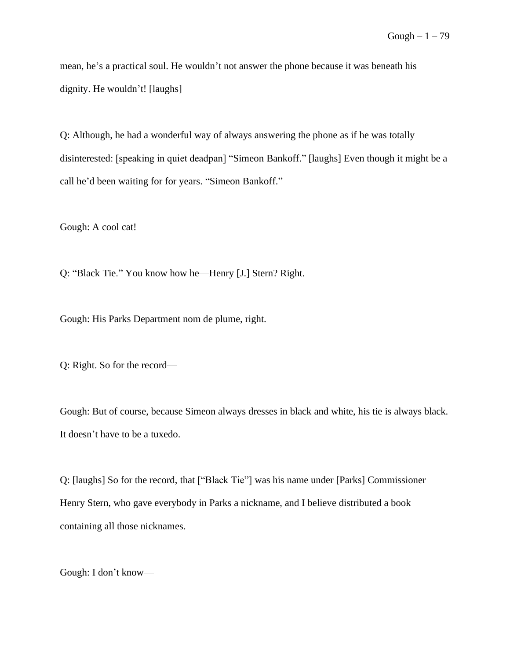mean, he's a practical soul. He wouldn't not answer the phone because it was beneath his dignity. He wouldn't! [laughs]

Q: Although, he had a wonderful way of always answering the phone as if he was totally disinterested: [speaking in quiet deadpan] "Simeon Bankoff." [laughs] Even though it might be a call he'd been waiting for for years. "Simeon Bankoff."

Gough: A cool cat!

Q: "Black Tie." You know how he––Henry [J.] Stern? Right.

Gough: His Parks Department nom de plume, right.

Q: Right. So for the record––

Gough: But of course, because Simeon always dresses in black and white, his tie is always black. It doesn't have to be a tuxedo.

Q: [laughs] So for the record, that ["Black Tie"] was his name under [Parks] Commissioner Henry Stern, who gave everybody in Parks a nickname, and I believe distributed a book containing all those nicknames.

Gough: I don't know––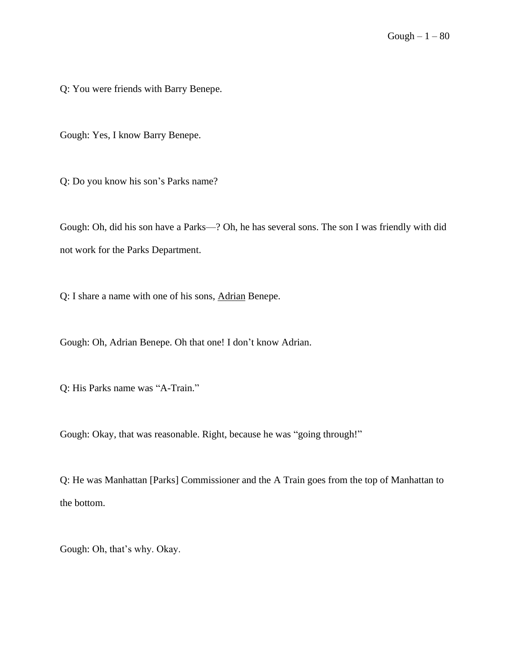Q: You were friends with Barry Benepe.

Gough: Yes, I know Barry Benepe.

Q: Do you know his son's Parks name?

Gough: Oh, did his son have a Parks––? Oh, he has several sons. The son I was friendly with did not work for the Parks Department.

Q: I share a name with one of his sons, Adrian Benepe.

Gough: Oh, Adrian Benepe. Oh that one! I don't know Adrian.

Q: His Parks name was "A-Train."

Gough: Okay, that was reasonable. Right, because he was "going through!"

Q: He was Manhattan [Parks] Commissioner and the A Train goes from the top of Manhattan to the bottom.

Gough: Oh, that's why. Okay.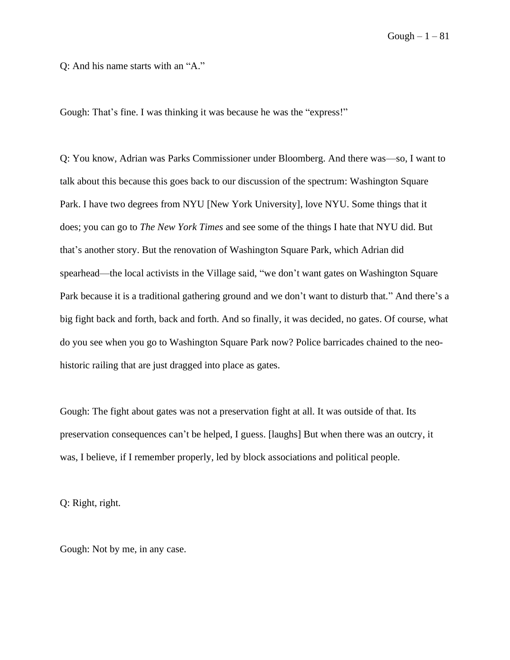Q: And his name starts with an "A."

Gough: That's fine. I was thinking it was because he was the "express!"

Q: You know, Adrian was Parks Commissioner under Bloomberg. And there was––so, I want to talk about this because this goes back to our discussion of the spectrum: Washington Square Park. I have two degrees from NYU [New York University], love NYU. Some things that it does; you can go to *The New York Times* and see some of the things I hate that NYU did. But that's another story. But the renovation of Washington Square Park, which Adrian did spearhead––the local activists in the Village said, "we don't want gates on Washington Square Park because it is a traditional gathering ground and we don't want to disturb that." And there's a big fight back and forth, back and forth. And so finally, it was decided, no gates. Of course, what do you see when you go to Washington Square Park now? Police barricades chained to the neohistoric railing that are just dragged into place as gates.

Gough: The fight about gates was not a preservation fight at all. It was outside of that. Its preservation consequences can't be helped, I guess. [laughs] But when there was an outcry, it was, I believe, if I remember properly, led by block associations and political people.

Q: Right, right.

Gough: Not by me, in any case.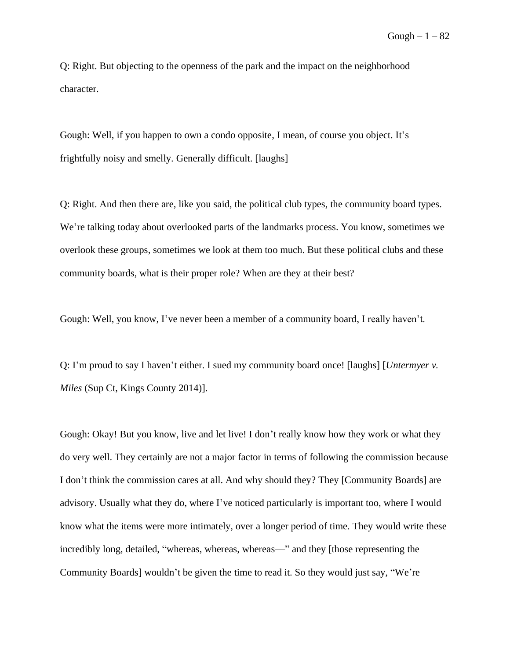Q: Right. But objecting to the openness of the park and the impact on the neighborhood character.

Gough: Well, if you happen to own a condo opposite, I mean, of course you object. It's frightfully noisy and smelly. Generally difficult. [laughs]

Q: Right. And then there are, like you said, the political club types, the community board types. We're talking today about overlooked parts of the landmarks process. You know, sometimes we overlook these groups, sometimes we look at them too much. But these political clubs and these community boards, what is their proper role? When are they at their best?

Gough: Well, you know, I've never been a member of a community board, I really haven't.

Q: I'm proud to say I haven't either. I sued my community board once! [laughs] [*Untermyer v. Miles* (Sup Ct, Kings County 2014)].

Gough: Okay! But you know, live and let live! I don't really know how they work or what they do very well. They certainly are not a major factor in terms of following the commission because I don't think the commission cares at all. And why should they? They [Community Boards] are advisory. Usually what they do, where I've noticed particularly is important too, where I would know what the items were more intimately, over a longer period of time. They would write these incredibly long, detailed, "whereas, whereas, whereas—" and they [those representing the Community Boards] wouldn't be given the time to read it. So they would just say, "We're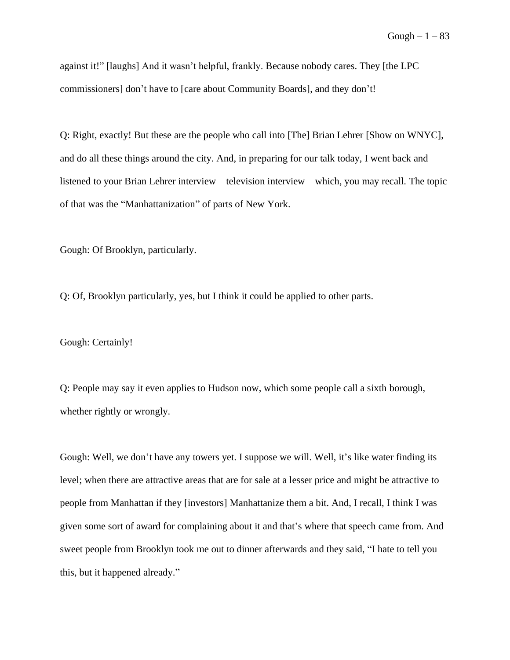against it!" [laughs] And it wasn't helpful, frankly. Because nobody cares. They [the LPC commissioners] don't have to [care about Community Boards], and they don't!

Q: Right, exactly! But these are the people who call into [The] Brian Lehrer [Show on WNYC], and do all these things around the city. And, in preparing for our talk today, I went back and listened to your Brian Lehrer interview––television interview––which, you may recall. The topic of that was the "Manhattanization" of parts of New York.

Gough: Of Brooklyn, particularly.

Q: Of, Brooklyn particularly, yes, but I think it could be applied to other parts.

Gough: Certainly!

Q: People may say it even applies to Hudson now, which some people call a sixth borough, whether rightly or wrongly.

Gough: Well, we don't have any towers yet. I suppose we will. Well, it's like water finding its level; when there are attractive areas that are for sale at a lesser price and might be attractive to people from Manhattan if they [investors] Manhattanize them a bit. And, I recall, I think I was given some sort of award for complaining about it and that's where that speech came from. And sweet people from Brooklyn took me out to dinner afterwards and they said, "I hate to tell you this, but it happened already."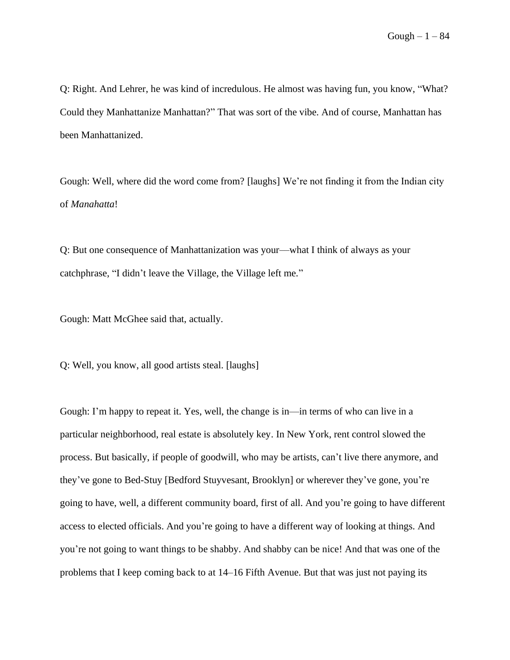Q: Right. And Lehrer, he was kind of incredulous. He almost was having fun, you know, "What? Could they Manhattanize Manhattan?" That was sort of the vibe. And of course, Manhattan has been Manhattanized.

Gough: Well, where did the word come from? [laughs] We're not finding it from the Indian city of *Manahatta*!

Q: But one consequence of Manhattanization was your––what I think of always as your catchphrase, "I didn't leave the Village, the Village left me."

Gough: Matt McGhee said that, actually.

Q: Well, you know, all good artists steal. [laughs]

Gough: I'm happy to repeat it. Yes, well, the change is in––in terms of who can live in a particular neighborhood, real estate is absolutely key. In New York, rent control slowed the process. But basically, if people of goodwill, who may be artists, can't live there anymore, and they've gone to Bed-Stuy [Bedford Stuyvesant, Brooklyn] or wherever they've gone, you're going to have, well, a different community board, first of all. And you're going to have different access to elected officials. And you're going to have a different way of looking at things. And you're not going to want things to be shabby. And shabby can be nice! And that was one of the problems that I keep coming back to at 14–16 Fifth Avenue. But that was just not paying its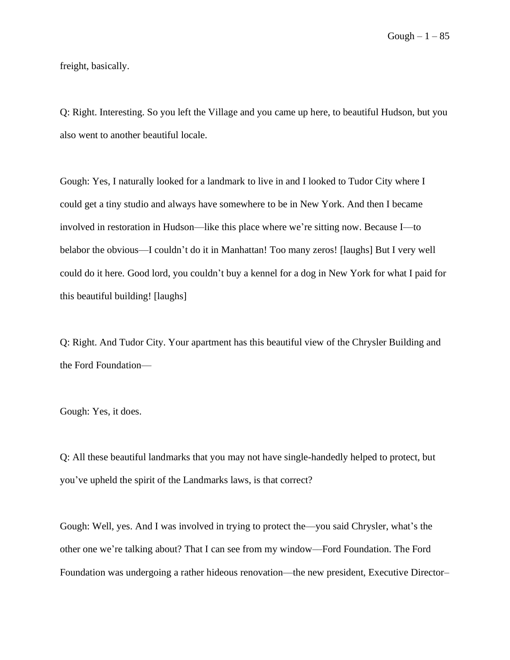freight, basically.

Q: Right. Interesting. So you left the Village and you came up here, to beautiful Hudson, but you also went to another beautiful locale.

Gough: Yes, I naturally looked for a landmark to live in and I looked to Tudor City where I could get a tiny studio and always have somewhere to be in New York. And then I became involved in restoration in Hudson––like this place where we're sitting now. Because I––to belabor the obvious––I couldn't do it in Manhattan! Too many zeros! [laughs] But I very well could do it here. Good lord, you couldn't buy a kennel for a dog in New York for what I paid for this beautiful building! [laughs]

Q: Right. And Tudor City. Your apartment has this beautiful view of the Chrysler Building and the Ford Foundation––

Gough: Yes, it does.

Q: All these beautiful landmarks that you may not have single-handedly helped to protect, but you've upheld the spirit of the Landmarks laws, is that correct?

Gough: Well, yes. And I was involved in trying to protect the––you said Chrysler, what's the other one we're talking about? That I can see from my window––Ford Foundation. The Ford Foundation was undergoing a rather hideous renovation––the new president, Executive Director–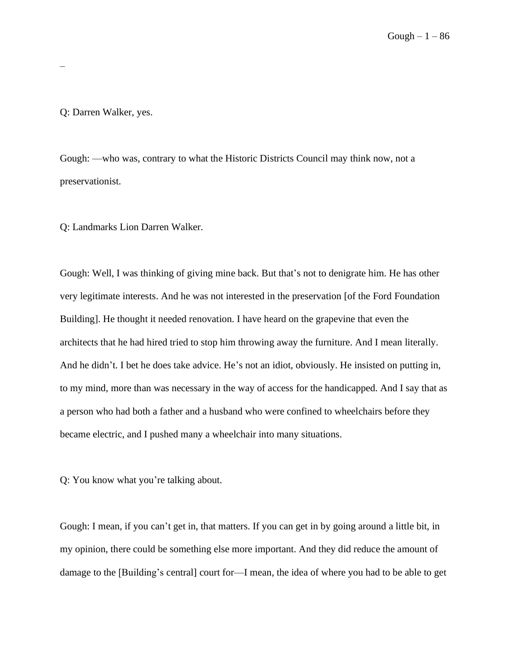Q: Darren Walker, yes.

–

Gough: ––who was, contrary to what the Historic Districts Council may think now, not a preservationist.

Q: Landmarks Lion Darren Walker.

Gough: Well, I was thinking of giving mine back. But that's not to denigrate him. He has other very legitimate interests. And he was not interested in the preservation [of the Ford Foundation Building]. He thought it needed renovation. I have heard on the grapevine that even the architects that he had hired tried to stop him throwing away the furniture. And I mean literally. And he didn't. I bet he does take advice. He's not an idiot, obviously. He insisted on putting in, to my mind, more than was necessary in the way of access for the handicapped. And I say that as a person who had both a father and a husband who were confined to wheelchairs before they became electric, and I pushed many a wheelchair into many situations.

Q: You know what you're talking about.

Gough: I mean, if you can't get in, that matters. If you can get in by going around a little bit, in my opinion, there could be something else more important. And they did reduce the amount of damage to the [Building's central] court for––I mean, the idea of where you had to be able to get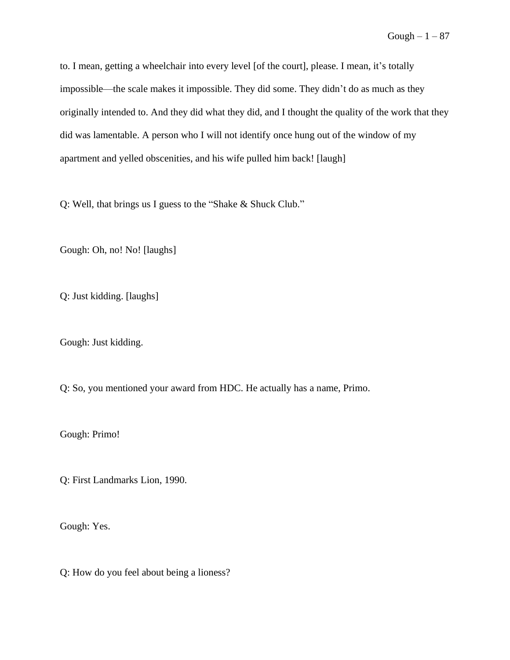to. I mean, getting a wheelchair into every level [of the court], please. I mean, it's totally impossible––the scale makes it impossible. They did some. They didn't do as much as they originally intended to. And they did what they did, and I thought the quality of the work that they did was lamentable. A person who I will not identify once hung out of the window of my apartment and yelled obscenities, and his wife pulled him back! [laugh]

Q: Well, that brings us I guess to the "Shake & Shuck Club."

Gough: Oh, no! No! [laughs]

Q: Just kidding. [laughs]

Gough: Just kidding.

Q: So, you mentioned your award from HDC. He actually has a name, Primo.

Gough: Primo!

Q: First Landmarks Lion, 1990.

Gough: Yes.

Q: How do you feel about being a lioness?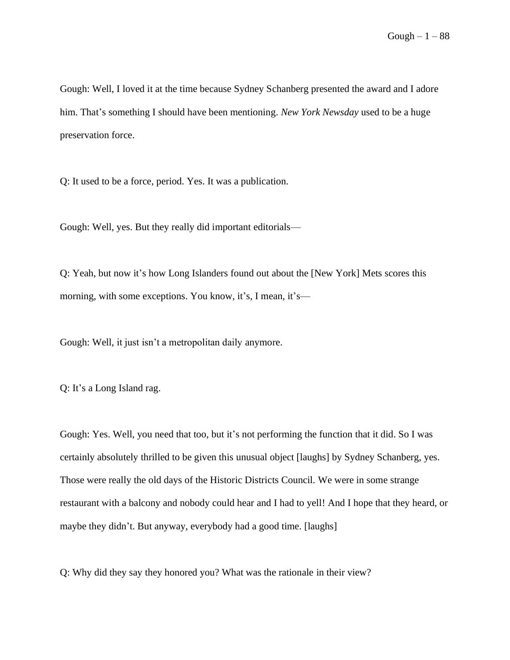Gough: Well, I loved it at the time because Sydney Schanberg presented the award and I adore him. That's something I should have been mentioning. *New York Newsday* used to be a huge preservation force.

Q: It used to be a force, period. Yes. It was a publication.

Gough: Well, yes. But they really did important editorials––

Q: Yeah, but now it's how Long Islanders found out about the [New York] Mets scores this morning, with some exceptions. You know, it's, I mean, it's—

Gough: Well, it just isn't a metropolitan daily anymore.

Q: It's a Long Island rag.

Gough: Yes. Well, you need that too, but it's not performing the function that it did. So I was certainly absolutely thrilled to be given this unusual object [laughs] by Sydney Schanberg, yes. Those were really the old days of the Historic Districts Council. We were in some strange restaurant with a balcony and nobody could hear and I had to yell! And I hope that they heard, or maybe they didn't. But anyway, everybody had a good time. [laughs]

Q: Why did they say they honored you? What was the rationale in their view?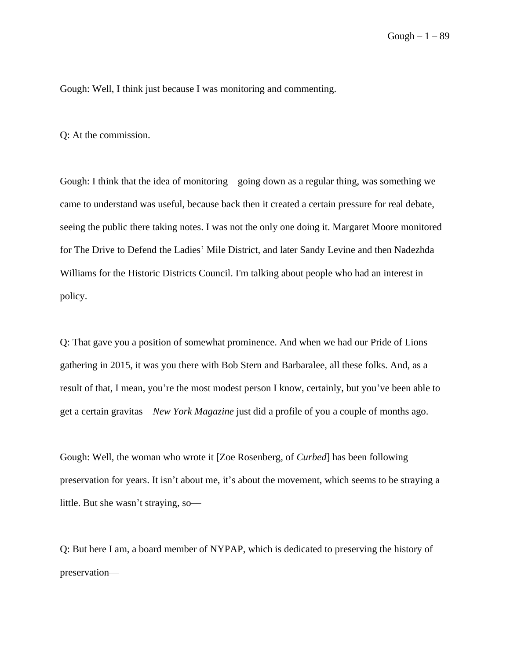Gough: Well, I think just because I was monitoring and commenting.

Q: At the commission.

Gough: I think that the idea of monitoring––going down as a regular thing, was something we came to understand was useful, because back then it created a certain pressure for real debate, seeing the public there taking notes. I was not the only one doing it. Margaret Moore monitored for The Drive to Defend the Ladies' Mile District, and later Sandy Levine and then Nadezhda Williams for the Historic Districts Council. I'm talking about people who had an interest in policy.

Q: That gave you a position of somewhat prominence. And when we had our Pride of Lions gathering in 2015, it was you there with Bob Stern and Barbaralee, all these folks. And, as a result of that, I mean, you're the most modest person I know, certainly, but you've been able to get a certain gravitas––*New York Magazine* just did a profile of you a couple of months ago.

Gough: Well, the woman who wrote it [Zoe Rosenberg, of *Curbed*] has been following preservation for years. It isn't about me, it's about the movement, which seems to be straying a little. But she wasn't straying, so—

Q: But here I am, a board member of NYPAP, which is dedicated to preserving the history of preservation––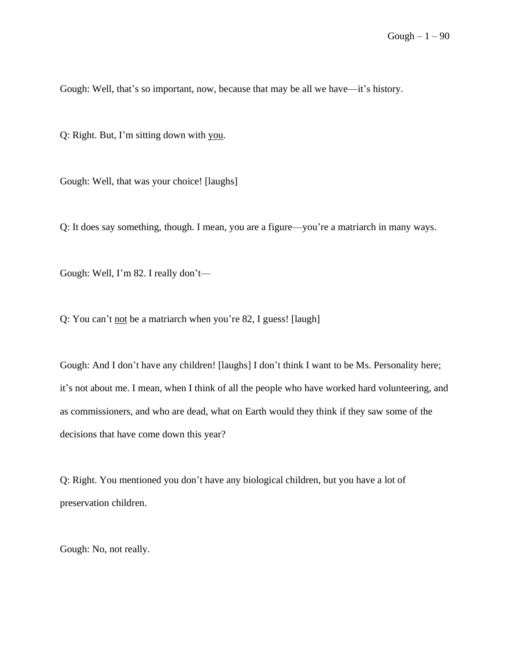Gough: Well, that's so important, now, because that may be all we have––it's history.

Q: Right. But, I'm sitting down with you.

Gough: Well, that was your choice! [laughs]

Q: It does say something, though. I mean, you are a figure––you're a matriarch in many ways.

Gough: Well, I'm 82. I really don't—

Q: You can't not be a matriarch when you're 82, I guess! [laugh]

Gough: And I don't have any children! [laughs] I don't think I want to be Ms. Personality here; it's not about me. I mean, when I think of all the people who have worked hard volunteering, and as commissioners, and who are dead, what on Earth would they think if they saw some of the decisions that have come down this year?

Q: Right. You mentioned you don't have any biological children, but you have a lot of preservation children.

Gough: No, not really.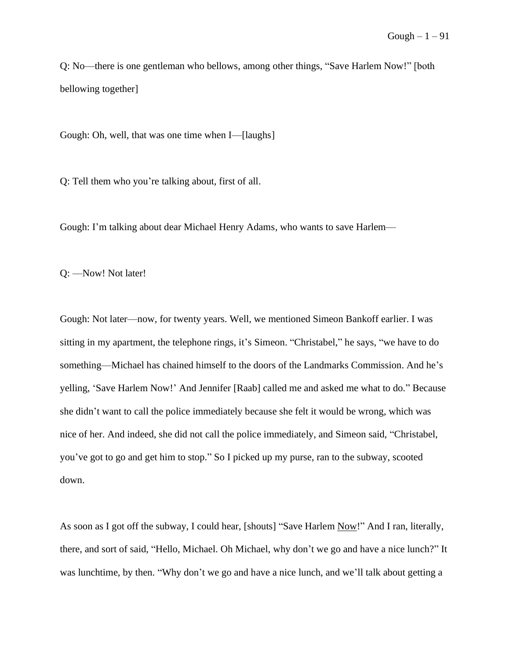Q: No––there is one gentleman who bellows, among other things, "Save Harlem Now!" [both bellowing together]

Gough: Oh, well, that was one time when I—[laughs]

Q: Tell them who you're talking about, first of all.

Gough: I'm talking about dear Michael Henry Adams, who wants to save Harlem––

Q: ––Now! Not later!

Gough: Not later––now, for twenty years. Well, we mentioned Simeon Bankoff earlier. I was sitting in my apartment, the telephone rings, it's Simeon. "Christabel," he says, "we have to do something––Michael has chained himself to the doors of the Landmarks Commission. And he's yelling, 'Save Harlem Now!' And Jennifer [Raab] called me and asked me what to do." Because she didn't want to call the police immediately because she felt it would be wrong, which was nice of her. And indeed, she did not call the police immediately, and Simeon said, "Christabel, you've got to go and get him to stop." So I picked up my purse, ran to the subway, scooted down.

As soon as I got off the subway, I could hear, [shouts] "Save Harlem Now!" And I ran, literally, there, and sort of said, "Hello, Michael. Oh Michael, why don't we go and have a nice lunch?" It was lunchtime, by then. "Why don't we go and have a nice lunch, and we'll talk about getting a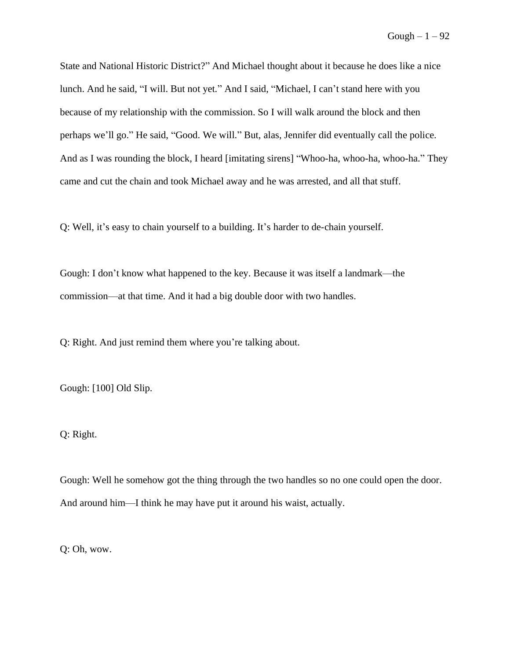State and National Historic District?" And Michael thought about it because he does like a nice lunch. And he said, "I will. But not yet." And I said, "Michael, I can't stand here with you because of my relationship with the commission. So I will walk around the block and then perhaps we'll go." He said, "Good. We will." But, alas, Jennifer did eventually call the police. And as I was rounding the block, I heard [imitating sirens] "Whoo-ha, whoo-ha, whoo-ha." They came and cut the chain and took Michael away and he was arrested, and all that stuff.

Q: Well, it's easy to chain yourself to a building. It's harder to de-chain yourself.

Gough: I don't know what happened to the key. Because it was itself a landmark––the commission––at that time. And it had a big double door with two handles.

Q: Right. And just remind them where you're talking about.

Gough: [100] Old Slip.

Q: Right.

Gough: Well he somehow got the thing through the two handles so no one could open the door. And around him––I think he may have put it around his waist, actually.

Q: Oh, wow.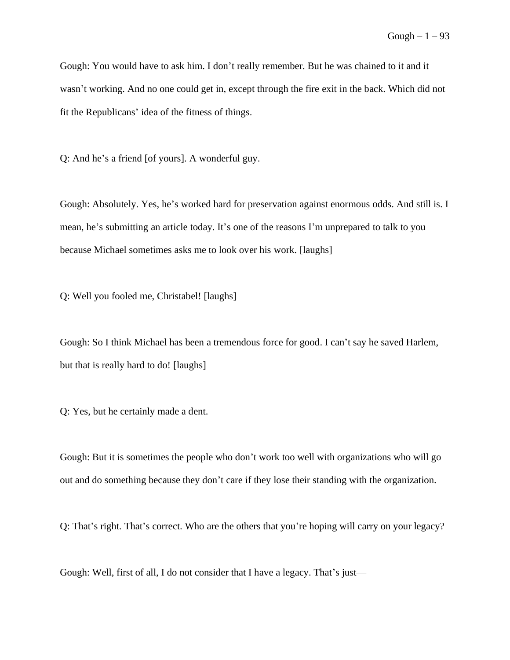Gough: You would have to ask him. I don't really remember. But he was chained to it and it wasn't working. And no one could get in, except through the fire exit in the back. Which did not fit the Republicans' idea of the fitness of things.

Q: And he's a friend [of yours]. A wonderful guy.

Gough: Absolutely. Yes, he's worked hard for preservation against enormous odds. And still is. I mean, he's submitting an article today. It's one of the reasons I'm unprepared to talk to you because Michael sometimes asks me to look over his work. [laughs]

Q: Well you fooled me, Christabel! [laughs]

Gough: So I think Michael has been a tremendous force for good. I can't say he saved Harlem, but that is really hard to do! [laughs]

Q: Yes, but he certainly made a dent.

Gough: But it is sometimes the people who don't work too well with organizations who will go out and do something because they don't care if they lose their standing with the organization.

Q: That's right. That's correct. Who are the others that you're hoping will carry on your legacy?

Gough: Well, first of all, I do not consider that I have a legacy. That's just—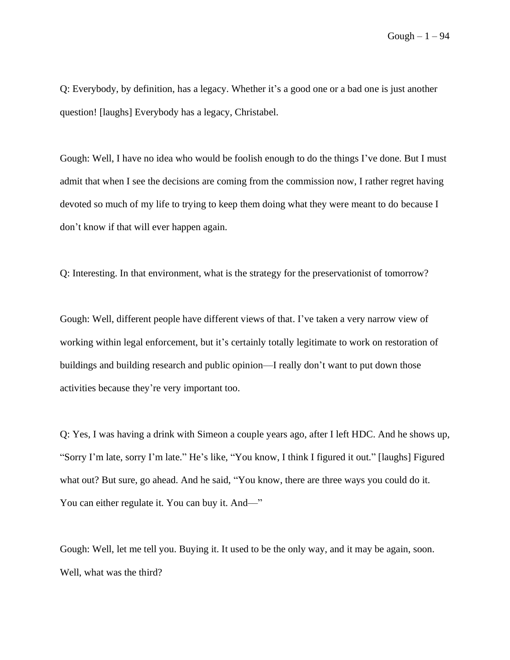Q: Everybody, by definition, has a legacy. Whether it's a good one or a bad one is just another question! [laughs] Everybody has a legacy, Christabel.

Gough: Well, I have no idea who would be foolish enough to do the things I've done. But I must admit that when I see the decisions are coming from the commission now, I rather regret having devoted so much of my life to trying to keep them doing what they were meant to do because I don't know if that will ever happen again.

Q: Interesting. In that environment, what is the strategy for the preservationist of tomorrow?

Gough: Well, different people have different views of that. I've taken a very narrow view of working within legal enforcement, but it's certainly totally legitimate to work on restoration of buildings and building research and public opinion––I really don't want to put down those activities because they're very important too.

Q: Yes, I was having a drink with Simeon a couple years ago, after I left HDC. And he shows up, "Sorry I'm late, sorry I'm late." He's like, "You know, I think I figured it out." [laughs] Figured what out? But sure, go ahead. And he said, "You know, there are three ways you could do it. You can either regulate it. You can buy it. And—"

Gough: Well, let me tell you. Buying it. It used to be the only way, and it may be again, soon. Well, what was the third?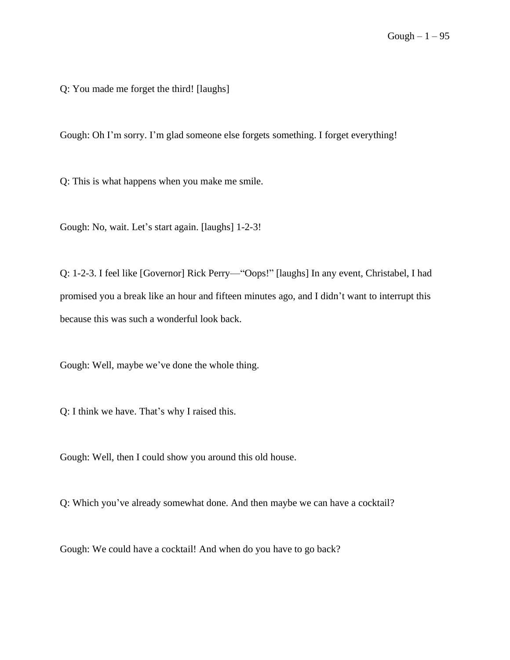Q: You made me forget the third! [laughs]

Gough: Oh I'm sorry. I'm glad someone else forgets something. I forget everything!

Q: This is what happens when you make me smile.

Gough: No, wait. Let's start again. [laughs] 1-2-3!

Q: 1-2-3. I feel like [Governor] Rick Perry––"Oops!" [laughs] In any event, Christabel, I had promised you a break like an hour and fifteen minutes ago, and I didn't want to interrupt this because this was such a wonderful look back.

Gough: Well, maybe we've done the whole thing.

Q: I think we have. That's why I raised this.

Gough: Well, then I could show you around this old house.

Q: Which you've already somewhat done. And then maybe we can have a cocktail?

Gough: We could have a cocktail! And when do you have to go back?